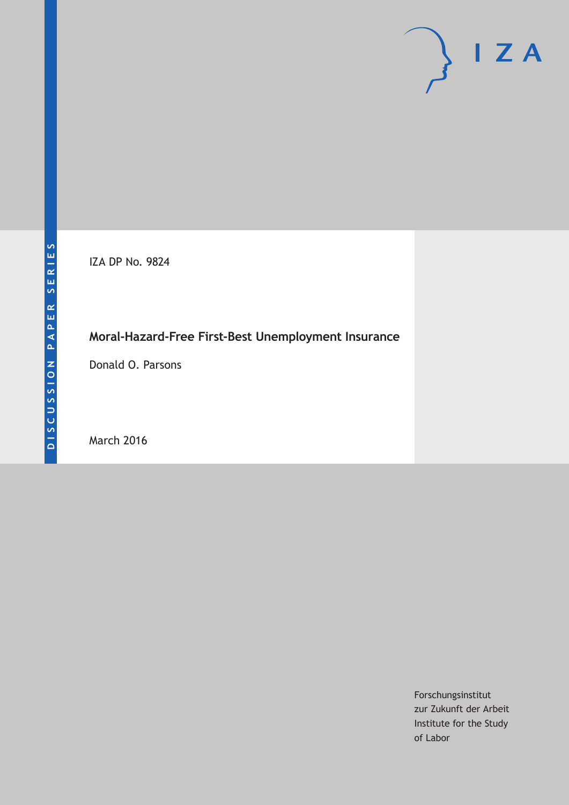# $I Z A$

IZA DP No. 9824

## **Moral-Hazard-Free First-Best Unemployment Insurance**

Donald O. Parsons

March 2016

Forschungsinstitut zur Zukunft der Arbeit Institute for the Study of Labor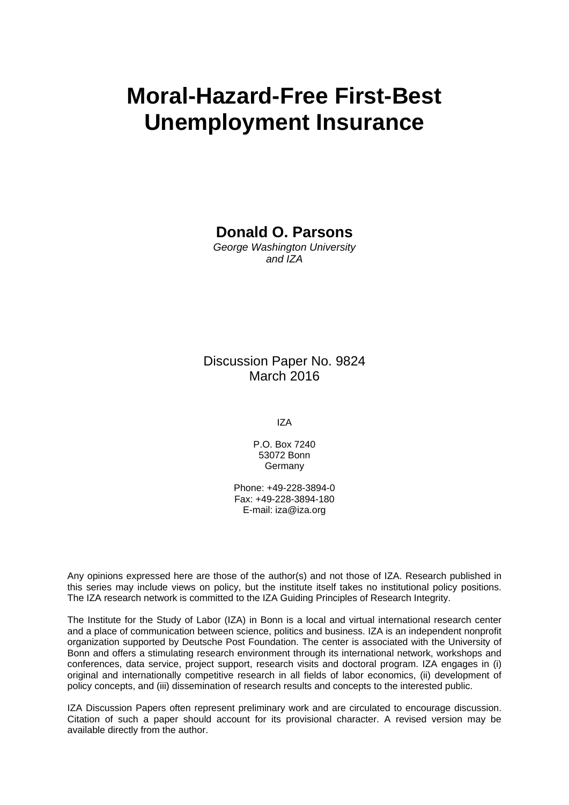# **Moral-Hazard-Free First-Best Unemployment Insurance**

**Donald O. Parsons** 

*George Washington University and IZA* 

#### Discussion Paper No. 9824 March 2016

IZA

P.O. Box 7240 53072 Bonn Germany

Phone: +49-228-3894-0 Fax: +49-228-3894-180 E-mail: iza@iza.org

Any opinions expressed here are those of the author(s) and not those of IZA. Research published in this series may include views on policy, but the institute itself takes no institutional policy positions. The IZA research network is committed to the IZA Guiding Principles of Research Integrity.

The Institute for the Study of Labor (IZA) in Bonn is a local and virtual international research center and a place of communication between science, politics and business. IZA is an independent nonprofit organization supported by Deutsche Post Foundation. The center is associated with the University of Bonn and offers a stimulating research environment through its international network, workshops and conferences, data service, project support, research visits and doctoral program. IZA engages in (i) original and internationally competitive research in all fields of labor economics, (ii) development of policy concepts, and (iii) dissemination of research results and concepts to the interested public.

IZA Discussion Papers often represent preliminary work and are circulated to encourage discussion. Citation of such a paper should account for its provisional character. A revised version may be available directly from the author.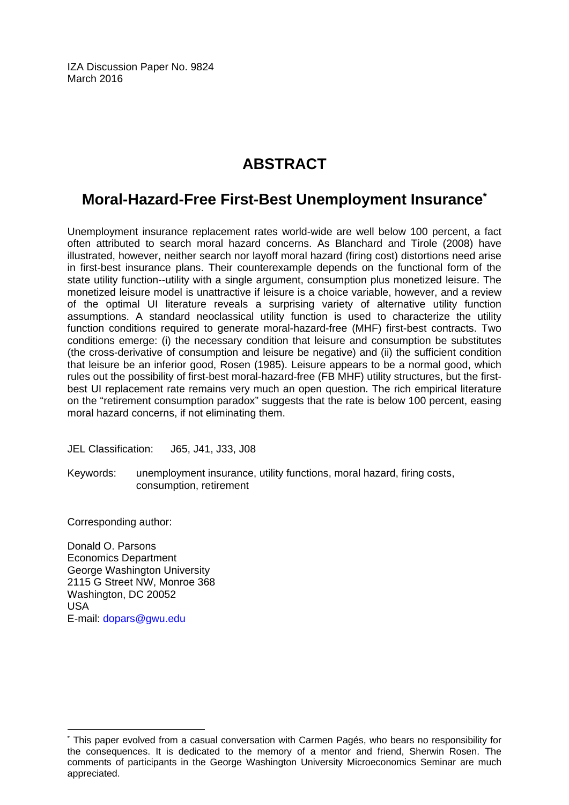IZA Discussion Paper No. 9824 March 2016

# **ABSTRACT**

## **Moral-Hazard-Free First-Best Unemployment Insurance\***

Unemployment insurance replacement rates world-wide are well below 100 percent, a fact often attributed to search moral hazard concerns. As Blanchard and Tirole (2008) have illustrated, however, neither search nor layoff moral hazard (firing cost) distortions need arise in first-best insurance plans. Their counterexample depends on the functional form of the state utility function--utility with a single argument, consumption plus monetized leisure. The monetized leisure model is unattractive if leisure is a choice variable, however, and a review of the optimal UI literature reveals a surprising variety of alternative utility function assumptions. A standard neoclassical utility function is used to characterize the utility function conditions required to generate moral-hazard-free (MHF) first-best contracts. Two conditions emerge: (i) the necessary condition that leisure and consumption be substitutes (the cross-derivative of consumption and leisure be negative) and (ii) the sufficient condition that leisure be an inferior good, Rosen (1985). Leisure appears to be a normal good, which rules out the possibility of first-best moral-hazard-free (FB MHF) utility structures, but the firstbest UI replacement rate remains very much an open question. The rich empirical literature on the "retirement consumption paradox" suggests that the rate is below 100 percent, easing moral hazard concerns, if not eliminating them.

JEL Classification: J65, J41, J33, J08

Keywords: unemployment insurance, utility functions, moral hazard, firing costs, consumption, retirement

Corresponding author:

 $\overline{a}$ 

Donald O. Parsons Economics Department George Washington University 2115 G Street NW, Monroe 368 Washington, DC 20052 USA E-mail: dopars@gwu.edu

<sup>\*</sup> This paper evolved from a casual conversation with Carmen Pagés, who bears no responsibility for the consequences. It is dedicated to the memory of a mentor and friend, Sherwin Rosen. The comments of participants in the George Washington University Microeconomics Seminar are much appreciated.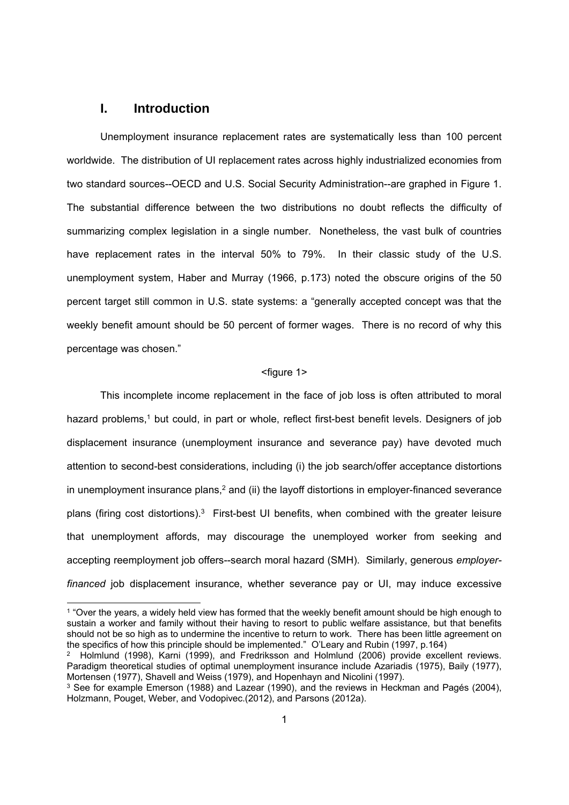#### **I. Introduction**

-

Unemployment insurance replacement rates are systematically less than 100 percent worldwide. The distribution of UI replacement rates across highly industrialized economies from two standard sources--OECD and U.S. Social Security Administration--are graphed in Figure 1. The substantial difference between the two distributions no doubt reflects the difficulty of summarizing complex legislation in a single number. Nonetheless, the vast bulk of countries have replacement rates in the interval 50% to 79%. In their classic study of the U.S. unemployment system, Haber and Murray (1966, p.173) noted the obscure origins of the 50 percent target still common in U.S. state systems: a "generally accepted concept was that the weekly benefit amount should be 50 percent of former wages. There is no record of why this percentage was chosen."

#### <figure 1>

This incomplete income replacement in the face of job loss is often attributed to moral hazard problems,<sup>1</sup> but could, in part or whole, reflect first-best benefit levels. Designers of job displacement insurance (unemployment insurance and severance pay) have devoted much attention to second-best considerations, including (i) the job search/offer acceptance distortions in unemployment insurance plans, $2$  and (ii) the layoff distortions in employer-financed severance plans (firing cost distortions).<sup>3</sup> First-best UI benefits, when combined with the greater leisure that unemployment affords, may discourage the unemployed worker from seeking and accepting reemployment job offers--search moral hazard (SMH). Similarly, generous *employerfinanced* job displacement insurance, whether severance pay or UI, may induce excessive

<sup>1 &</sup>quot;Over the years, a widely held view has formed that the weekly benefit amount should be high enough to sustain a worker and family without their having to resort to public welfare assistance, but that benefits should not be so high as to undermine the incentive to return to work. There has been little agreement on the specifics of how this principle should be implemented." O'Leary and Rubin (1997, p.164)

<sup>2</sup> Holmlund (1998), Karni (1999), and Fredriksson and Holmlund (2006) provide excellent reviews. Paradigm theoretical studies of optimal unemployment insurance include Azariadis (1975), Baily (1977), Mortensen (1977), Shavell and Weiss (1979), and Hopenhayn and Nicolini (1997).

<sup>3</sup> See for example Emerson (1988) and Lazear (1990), and the reviews in Heckman and Pagés (2004), Holzmann, Pouget, Weber, and Vodopivec.(2012), and Parsons (2012a).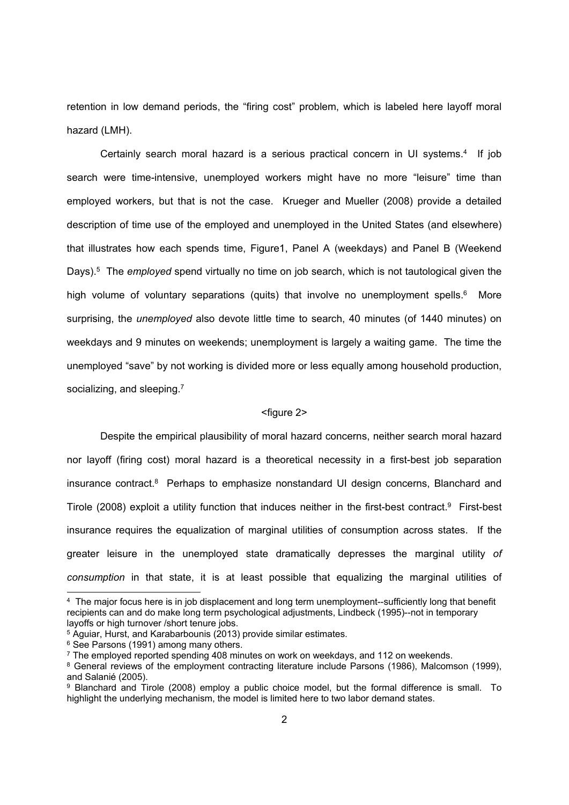retention in low demand periods, the "firing cost" problem, which is labeled here layoff moral hazard (LMH).

Certainly search moral hazard is a serious practical concern in UI systems.<sup>4</sup> If job search were time-intensive, unemployed workers might have no more "leisure" time than employed workers, but that is not the case. Krueger and Mueller (2008) provide a detailed description of time use of the employed and unemployed in the United States (and elsewhere) that illustrates how each spends time, Figure1, Panel A (weekdays) and Panel B (Weekend Days).5 The *employed* spend virtually no time on job search, which is not tautological given the high volume of voluntary separations (quits) that involve no unemployment spells.<sup>6</sup> More surprising, the *unemployed* also devote little time to search, 40 minutes (of 1440 minutes) on weekdays and 9 minutes on weekends; unemployment is largely a waiting game. The time the unemployed "save" by not working is divided more or less equally among household production, socializing, and sleeping.<sup>7</sup>

#### <figure 2>

Despite the empirical plausibility of moral hazard concerns, neither search moral hazard nor layoff (firing cost) moral hazard is a theoretical necessity in a first-best job separation insurance contract.8 Perhaps to emphasize nonstandard UI design concerns, Blanchard and Tirole (2008) exploit a utility function that induces neither in the first-best contract.<sup>9</sup> First-best insurance requires the equalization of marginal utilities of consumption across states. If the greater leisure in the unemployed state dramatically depresses the marginal utility *of consumption* in that state, it is at least possible that equalizing the marginal utilities of

-

<sup>4</sup> The major focus here is in job displacement and long term unemployment--sufficiently long that benefit recipients can and do make long term psychological adjustments, Lindbeck (1995)--not in temporary layoffs or high turnover /short tenure jobs.

<sup>&</sup>lt;sup>5</sup> Aguiar, Hurst, and Karabarbounis (2013) provide similar estimates.

<sup>&</sup>lt;sup>6</sup> See Parsons (1991) among many others.

<sup>7</sup> The employed reported spending 408 minutes on work on weekdays, and 112 on weekends.

<sup>8</sup> General reviews of the employment contracting literature include Parsons (1986), Malcomson (1999), and Salanié (2005).

<sup>9</sup> Blanchard and Tirole (2008) employ a public choice model, but the formal difference is small. To highlight the underlying mechanism, the model is limited here to two labor demand states.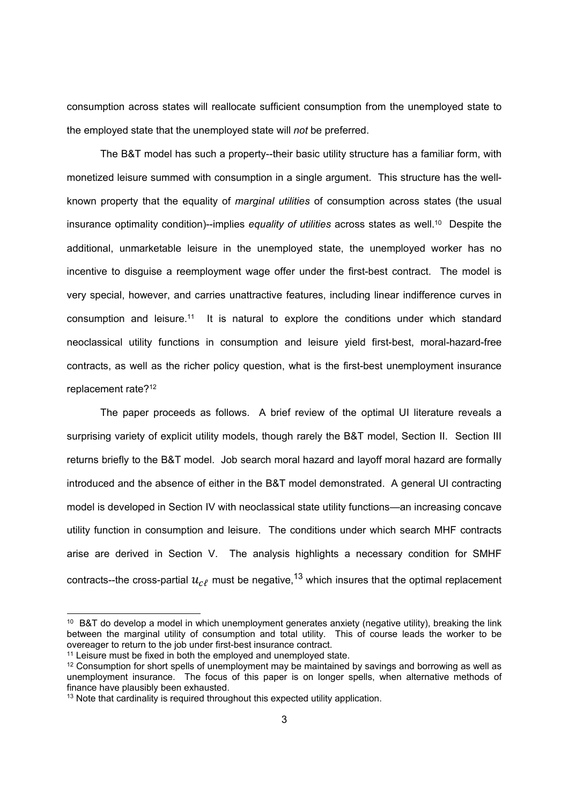consumption across states will reallocate sufficient consumption from the unemployed state to the employed state that the unemployed state will *not* be preferred.

The B&T model has such a property--their basic utility structure has a familiar form, with monetized leisure summed with consumption in a single argument. This structure has the wellknown property that the equality of *marginal utilities* of consumption across states (the usual insurance optimality condition)--implies *equality of utilities* across states as well.<sup>10</sup> Despite the additional, unmarketable leisure in the unemployed state, the unemployed worker has no incentive to disguise a reemployment wage offer under the first-best contract. The model is very special, however, and carries unattractive features, including linear indifference curves in consumption and leisure.11 It is natural to explore the conditions under which standard neoclassical utility functions in consumption and leisure yield first-best, moral-hazard-free contracts, as well as the richer policy question, what is the first-best unemployment insurance replacement rate?12

The paper proceeds as follows. A brief review of the optimal UI literature reveals a surprising variety of explicit utility models, though rarely the B&T model, Section II. Section III returns briefly to the B&T model. Job search moral hazard and layoff moral hazard are formally introduced and the absence of either in the B&T model demonstrated. A general UI contracting model is developed in Section IV with neoclassical state utility functions—an increasing concave utility function in consumption and leisure. The conditions under which search MHF contracts arise are derived in Section V. The analysis highlights a necessary condition for SMHF contracts--the cross-partial  $u_{\text{c}}$  must be negative,<sup>13</sup> which insures that the optimal replacement

<sup>&</sup>lt;sup>10</sup> B&T do develop a model in which unemployment generates anxiety (negative utility), breaking the link between the marginal utility of consumption and total utility. This of course leads the worker to be overeager to return to the job under first-best insurance contract.

<sup>&</sup>lt;sup>11</sup> Leisure must be fixed in both the employed and unemployed state.

<sup>&</sup>lt;sup>12</sup> Consumption for short spells of unemployment may be maintained by savings and borrowing as well as unemployment insurance. The focus of this paper is on longer spells, when alternative methods of finance have plausibly been exhausted.

<sup>&</sup>lt;sup>13</sup> Note that cardinality is required throughout this expected utility application.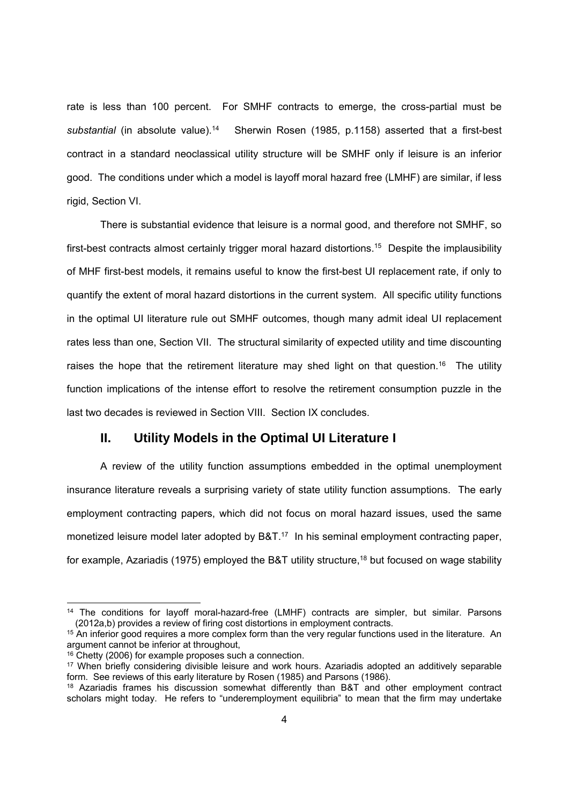rate is less than 100 percent. For SMHF contracts to emerge, the cross-partial must be substantial (in absolute value).<sup>14</sup> Sherwin Rosen (1985, p.1158) asserted that a first-best contract in a standard neoclassical utility structure will be SMHF only if leisure is an inferior good. The conditions under which a model is layoff moral hazard free (LMHF) are similar, if less rigid, Section VI.

There is substantial evidence that leisure is a normal good, and therefore not SMHF, so first-best contracts almost certainly trigger moral hazard distortions.<sup>15</sup> Despite the implausibility of MHF first-best models, it remains useful to know the first-best UI replacement rate, if only to quantify the extent of moral hazard distortions in the current system. All specific utility functions in the optimal UI literature rule out SMHF outcomes, though many admit ideal UI replacement rates less than one, Section VII. The structural similarity of expected utility and time discounting raises the hope that the retirement literature may shed light on that question.<sup>16</sup> The utility function implications of the intense effort to resolve the retirement consumption puzzle in the last two decades is reviewed in Section VIII. Section IX concludes.

#### **II. Utility Models in the Optimal UI Literature I**

A review of the utility function assumptions embedded in the optimal unemployment insurance literature reveals a surprising variety of state utility function assumptions. The early employment contracting papers, which did not focus on moral hazard issues, used the same monetized leisure model later adopted by B&T.<sup>17</sup> In his seminal employment contracting paper, for example, Azariadis (1975) employed the B&T utility structure,<sup>18</sup> but focused on wage stability

-

<sup>&</sup>lt;sup>14</sup> The conditions for layoff moral-hazard-free (LMHF) contracts are simpler, but similar, Parsons (2012a,b) provides a review of firing cost distortions in employment contracts.

<sup>&</sup>lt;sup>15</sup> An inferior good requires a more complex form than the very regular functions used in the literature. An argument cannot be inferior at throughout,

<sup>&</sup>lt;sup>16</sup> Chetty (2006) for example proposes such a connection.

<sup>17</sup> When briefly considering divisible leisure and work hours. Azariadis adopted an additively separable form. See reviews of this early literature by Rosen (1985) and Parsons (1986).

<sup>&</sup>lt;sup>18</sup> Azariadis frames his discussion somewhat differently than B&T and other employment contract scholars might today. He refers to "underemployment equilibria" to mean that the firm may undertake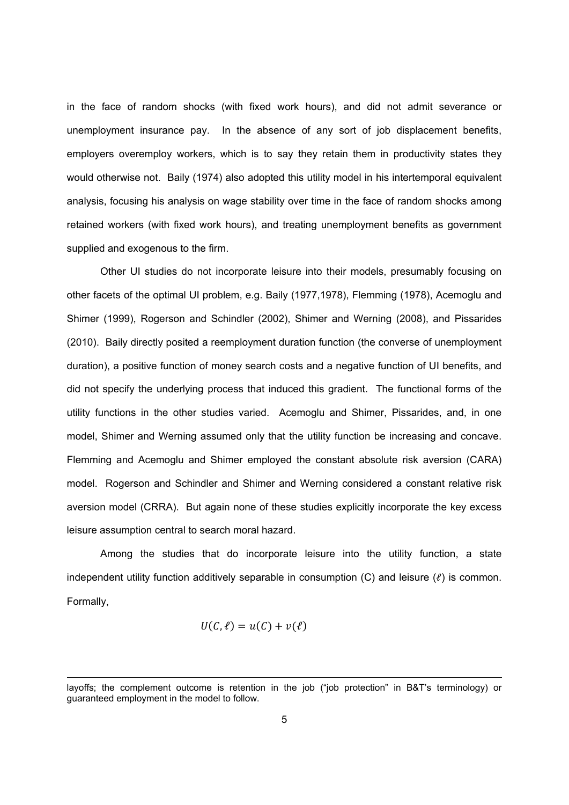in the face of random shocks (with fixed work hours), and did not admit severance or unemployment insurance pay. In the absence of any sort of job displacement benefits, employers overemploy workers, which is to say they retain them in productivity states they would otherwise not. Baily (1974) also adopted this utility model in his intertemporal equivalent analysis, focusing his analysis on wage stability over time in the face of random shocks among retained workers (with fixed work hours), and treating unemployment benefits as government supplied and exogenous to the firm.

Other UI studies do not incorporate leisure into their models, presumably focusing on other facets of the optimal UI problem, e.g. Baily (1977,1978), Flemming (1978), Acemoglu and Shimer (1999), Rogerson and Schindler (2002), Shimer and Werning (2008), and Pissarides (2010). Baily directly posited a reemployment duration function (the converse of unemployment duration), a positive function of money search costs and a negative function of UI benefits, and did not specify the underlying process that induced this gradient. The functional forms of the utility functions in the other studies varied. Acemoglu and Shimer, Pissarides, and, in one model, Shimer and Werning assumed only that the utility function be increasing and concave. Flemming and Acemoglu and Shimer employed the constant absolute risk aversion (CARA) model. Rogerson and Schindler and Shimer and Werning considered a constant relative risk aversion model (CRRA). But again none of these studies explicitly incorporate the key excess leisure assumption central to search moral hazard.

Among the studies that do incorporate leisure into the utility function, a state independent utility function additively separable in consumption (C) and leisure  $(\ell)$  is common. Formally,

$$
U(C,\ell) = u(C) + v(\ell)
$$

layoffs; the complement outcome is retention in the job ("job protection" in B&T's terminology) or guaranteed employment in the model to follow.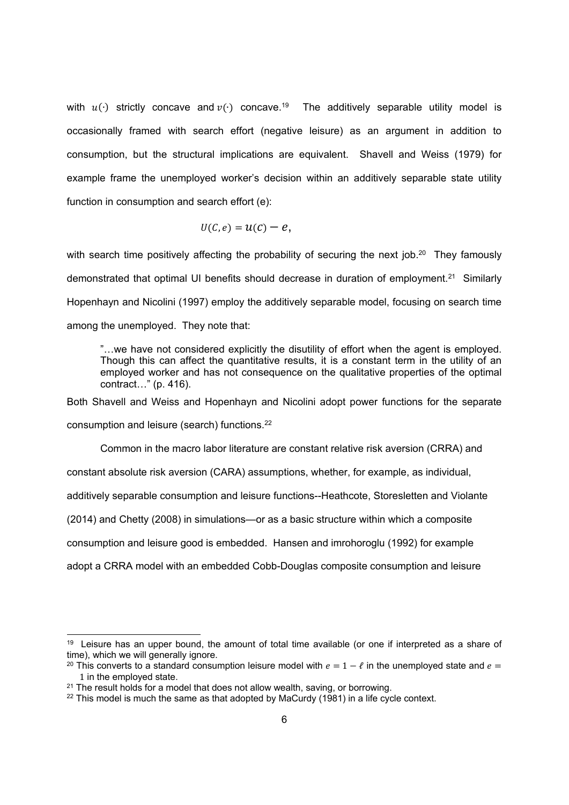with  $u(·)$  strictly concave and  $v(·)$  concave.<sup>19</sup> The additively separable utility model is occasionally framed with search effort (negative leisure) as an argument in addition to consumption, but the structural implications are equivalent. Shavell and Weiss (1979) for example frame the unemployed worker's decision within an additively separable state utility function in consumption and search effort (e):

$$
U(C,e)=U(C)-e,
$$

with search time positively affecting the probability of securing the next job.<sup>20</sup> They famously demonstrated that optimal UI benefits should decrease in duration of employment.21 Similarly Hopenhayn and Nicolini (1997) employ the additively separable model, focusing on search time among the unemployed. They note that:

"…we have not considered explicitly the disutility of effort when the agent is employed. Though this can affect the quantitative results, it is a constant term in the utility of an employed worker and has not consequence on the qualitative properties of the optimal contract…" (p. 416).

Both Shavell and Weiss and Hopenhayn and Nicolini adopt power functions for the separate

consumption and leisure (search) functions.22

-

Common in the macro labor literature are constant relative risk aversion (CRRA) and

constant absolute risk aversion (CARA) assumptions, whether, for example, as individual,

additively separable consumption and leisure functions--Heathcote, Storesletten and Violante

(2014) and Chetty (2008) in simulations—or as a basic structure within which a composite

consumption and leisure good is embedded. Hansen and imrohoroglu (1992) for example

adopt a CRRA model with an embedded Cobb-Douglas composite consumption and leisure

<sup>&</sup>lt;sup>19</sup> Leisure has an upper bound, the amount of total time available (or one if interpreted as a share of time), which we will generally ignore.

<sup>&</sup>lt;sup>20</sup> This converts to a standard consumption leisure model with  $e = 1 - \ell$  in the unemployed state and  $e =$ 1 in the employed state.

<sup>21</sup> The result holds for a model that does not allow wealth, saving, or borrowing.

 $22$  This model is much the same as that adopted by MaCurdy (1981) in a life cycle context.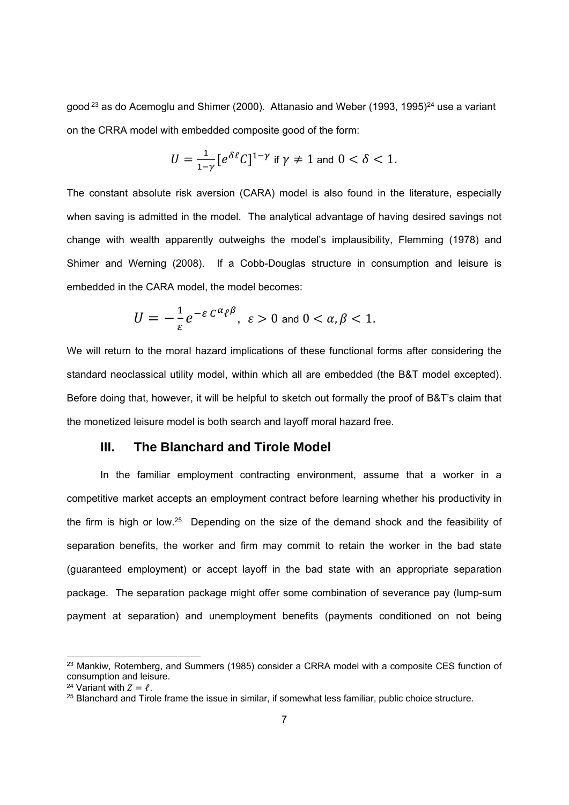good  $23$  as do Acemoglu and Shimer (2000). Attanasio and Weber (1993, 1995) $^{24}$  use a variant on the CRRA model with embedded composite good of the form:

$$
U = \frac{1}{1-\gamma} \left[ e^{\delta \ell} C \right]^{1-\gamma} \text{ if } \gamma \neq 1 \text{ and } 0 < \delta < 1.
$$

The constant absolute risk aversion (CARA) model is also found in the literature, especially when saving is admitted in the model. The analytical advantage of having desired savings not change with wealth apparently outweighs the model's implausibility, Flemming (1978) and Shimer and Werning (2008). If a Cobb-Douglas structure in consumption and leisure is embedded in the CARA model, the model becomes:

$$
U=-\frac{1}{\varepsilon}e^{-\varepsilon C^{\alpha}\ell^{\beta}}, \ \varepsilon>0 \text{ and } 0<\alpha,\beta<1.
$$

We will return to the moral hazard implications of these functional forms after considering the standard neoclassical utility model, within which all are embedded (the B&T model excepted). Before doing that, however, it will be helpful to sketch out formally the proof of B&T's claim that the monetized leisure model is both search and layoff moral hazard free.

#### **III. The Blanchard and Tirole Model**

In the familiar employment contracting environment, assume that a worker in a competitive market accepts an employment contract before learning whether his productivity in the firm is high or low.25 Depending on the size of the demand shock and the feasibility of separation benefits, the worker and firm may commit to retain the worker in the bad state (guaranteed employment) or accept layoff in the bad state with an appropriate separation package. The separation package might offer some combination of severance pay (lump-sum payment at separation) and unemployment benefits (payments conditioned on not being

<sup>&</sup>lt;sup>23</sup> Mankiw, Rotemberg, and Summers (1985) consider a CRRA model with a composite CES function of consumption and leisure.

<sup>&</sup>lt;sup>24</sup> Variant with  $Z = \ell$ .<br><sup>25</sup> Blanchard and Tirole frame the issue in similar, if somewhat less familiar, public choice structure.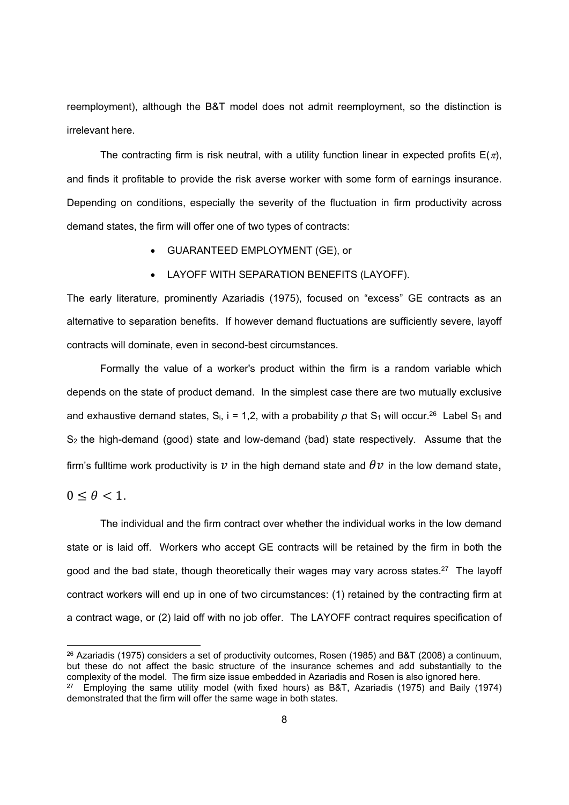reemployment), although the B&T model does not admit reemployment, so the distinction is irrelevant here.

The contracting firm is risk neutral, with a utility function linear in expected profits  $E(\tau)$ , and finds it profitable to provide the risk averse worker with some form of earnings insurance. Depending on conditions, especially the severity of the fluctuation in firm productivity across demand states, the firm will offer one of two types of contracts:

- GUARANTEED EMPLOYMENT (GE), or
- LAYOFF WITH SEPARATION BENEFITS (LAYOFF).

The early literature, prominently Azariadis (1975), focused on "excess" GE contracts as an alternative to separation benefits. If however demand fluctuations are sufficiently severe, layoff contracts will dominate, even in second-best circumstances.

Formally the value of a worker's product within the firm is a random variable which depends on the state of product demand. In the simplest case there are two mutually exclusive and exhaustive demand states, S<sub>i</sub>, i = 1,2, with a probability  $\rho$  that S<sub>1</sub> will occur.<sup>26</sup> Label S<sub>1</sub> and  $S_2$  the high-demand (good) state and low-demand (bad) state respectively. Assume that the firm's fulltime work productivity is  $\nu$  in the high demand state and  $\theta\nu$  in the low demand state,

 $0 \leq \theta < 1$ .

-

The individual and the firm contract over whether the individual works in the low demand state or is laid off. Workers who accept GE contracts will be retained by the firm in both the good and the bad state, though theoretically their wages may vary across states.27 The layoff contract workers will end up in one of two circumstances: (1) retained by the contracting firm at a contract wage, or (2) laid off with no job offer. The LAYOFF contract requires specification of

<sup>&</sup>lt;sup>26</sup> Azariadis (1975) considers a set of productivity outcomes, Rosen (1985) and B&T (2008) a continuum, but these do not affect the basic structure of the insurance schemes and add substantially to the complexity of the model. The firm size issue embedded in Azariadis and Rosen is also ignored here. 27 Employing the same utility model (with fixed hours) as B&T, Azariadis (1975) and Baily (1974) demonstrated that the firm will offer the same wage in both states.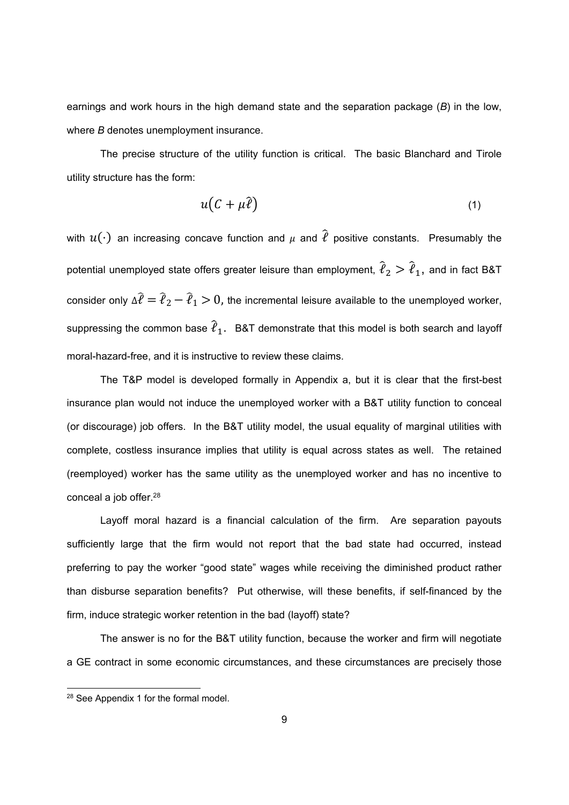earnings and work hours in the high demand state and the separation package (*B*) in the low, where *B* denotes unemployment insurance.

The precise structure of the utility function is critical. The basic Blanchard and Tirole utility structure has the form:

$$
u(C + \mu \hat{\ell}) \tag{1}
$$

with  $u(\cdot)$  an increasing concave function and  $\mu$  and  $\hat{\ell}$  positive constants. Presumably the potential unemployed state offers greater leisure than employment,  $\hat{\ell}_2 > \hat{\ell}_1$ , and in fact B&T consider only  $\Delta \hat{\ell} = \hat{\ell}_2 - \hat{\ell}_1 > 0$ , the incremental leisure available to the unemployed worker, suppressing the common base  $\hat{\ell}_1$ . B&T demonstrate that this model is both search and layoff moral-hazard-free, and it is instructive to review these claims.

The T&P model is developed formally in Appendix a, but it is clear that the first-best insurance plan would not induce the unemployed worker with a B&T utility function to conceal (or discourage) job offers. In the B&T utility model, the usual equality of marginal utilities with complete, costless insurance implies that utility is equal across states as well. The retained (reemployed) worker has the same utility as the unemployed worker and has no incentive to conceal a job offer.28

Layoff moral hazard is a financial calculation of the firm. Are separation payouts sufficiently large that the firm would not report that the bad state had occurred, instead preferring to pay the worker "good state" wages while receiving the diminished product rather than disburse separation benefits? Put otherwise, will these benefits, if self-financed by the firm, induce strategic worker retention in the bad (layoff) state?

The answer is no for the B&T utility function, because the worker and firm will negotiate a GE contract in some economic circumstances, and these circumstances are precisely those

<sup>28</sup> See Appendix 1 for the formal model.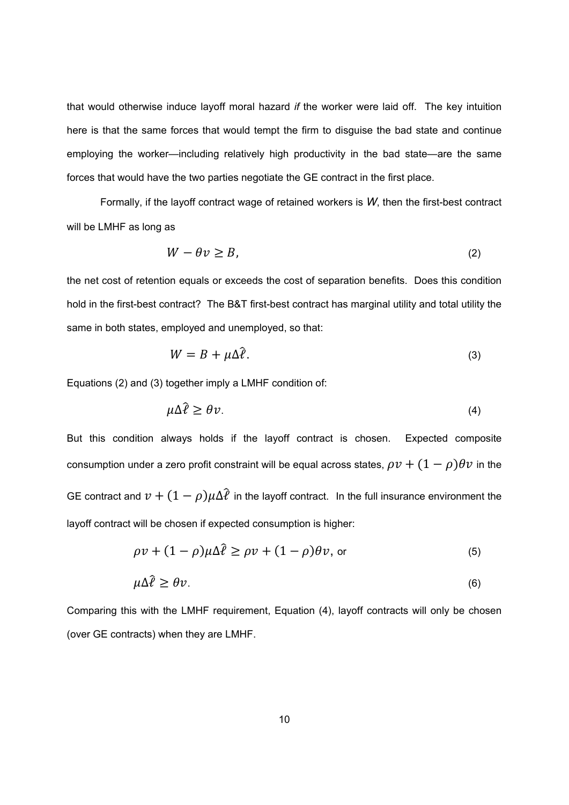that would otherwise induce layoff moral hazard *if* the worker were laid off. The key intuition here is that the same forces that would tempt the firm to disguise the bad state and continue employing the worker—including relatively high productivity in the bad state—are the same forces that would have the two parties negotiate the GE contract in the first place.

Formally, if the layoff contract wage of retained workers is *W*, then the first-best contract will be LMHF as long as

$$
W - \theta v \ge B,\tag{2}
$$

the net cost of retention equals or exceeds the cost of separation benefits. Does this condition hold in the first-best contract? The B&T first-best contract has marginal utility and total utility the same in both states, employed and unemployed, so that:

$$
W = B + \mu \Delta \hat{\ell}.
$$
 (3)

Equations (2) and (3) together imply a LMHF condition of:

$$
\mu \Delta \hat{\ell} \ge \theta \nu. \tag{4}
$$

But this condition always holds if the layoff contract is chosen. Expected composite consumption under a zero profit constraint will be equal across states,  $\rho v + (1 - \rho)\theta v$  in the GE contract and  $v + (1 - \rho)\mu\Delta\hat{l}$  in the layoff contract. In the full insurance environment the layoff contract will be chosen if expected consumption is higher:

$$
\rho v + (1 - \rho)\mu \Delta \hat{\ell} \ge \rho v + (1 - \rho)\theta v, \text{ or } (5)
$$

$$
\mu \Delta \hat{\ell} \ge \theta \nu. \tag{6}
$$

Comparing this with the LMHF requirement, Equation (4), layoff contracts will only be chosen (over GE contracts) when they are LMHF.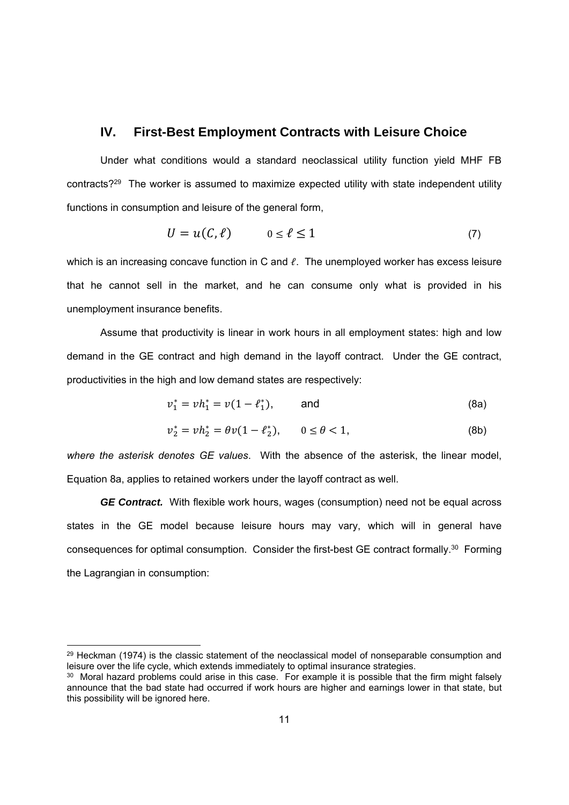#### **IV. First-Best Employment Contracts with Leisure Choice**

Under what conditions would a standard neoclassical utility function yield MHF FB contracts?29 The worker is assumed to maximize expected utility with state independent utility functions in consumption and leisure of the general form,

$$
U = u(C, \ell) \qquad 0 \le \ell \le 1 \tag{7}
$$

which is an increasing concave function in C and  $\ell$ . The unemployed worker has excess leisure that he cannot sell in the market, and he can consume only what is provided in his unemployment insurance benefits.

Assume that productivity is linear in work hours in all employment states: high and low demand in the GE contract and high demand in the layoff contract. Under the GE contract, productivities in the high and low demand states are respectively:

$$
v_1^* = v h_1^* = v(1 - \ell_1^*), \qquad \text{and} \tag{8a}
$$

$$
v_2^* = v h_2^* = \theta v (1 - \ell_2^*), \qquad 0 \le \theta < 1,
$$
 (8b)

*where the asterisk denotes GE values*. With the absence of the asterisk, the linear model, Equation 8a, applies to retained workers under the layoff contract as well.

*GE Contract.* With flexible work hours, wages (consumption) need not be equal across states in the GE model because leisure hours may vary, which will in general have consequences for optimal consumption. Consider the first-best GE contract formally.30 Forming the Lagrangian in consumption:

-

 $29$  Heckman (1974) is the classic statement of the neoclassical model of nonseparable consumption and leisure over the life cycle, which extends immediately to optimal insurance strategies.

<sup>&</sup>lt;sup>30</sup> Moral hazard problems could arise in this case. For example it is possible that the firm might falsely announce that the bad state had occurred if work hours are higher and earnings lower in that state, but this possibility will be ignored here.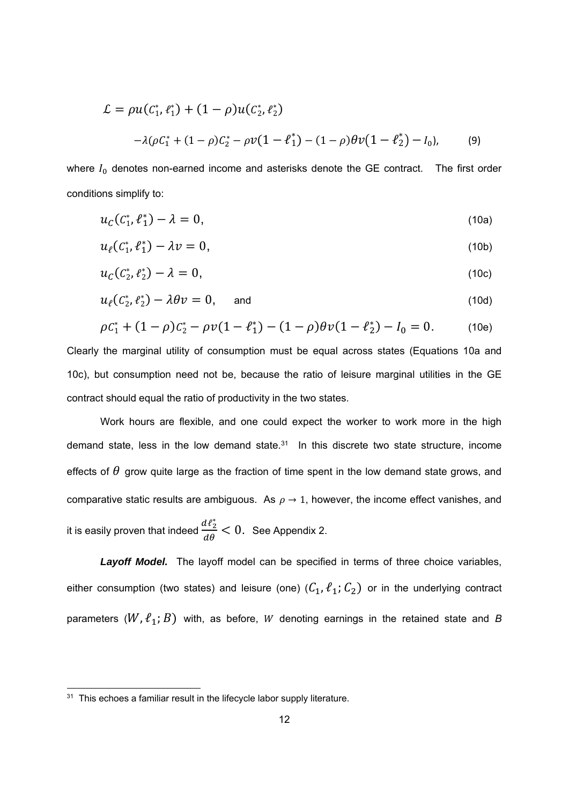$$
\mathcal{L} = \rho u (c_1^*, \ell_1^*) + (1 - \rho) u (c_2^*, \ell_2^*)
$$
  
-  $\lambda (\rho c_1^* + (1 - \rho) c_2^* - \rho v (1 - \ell_1^*) - (1 - \rho) \theta v (1 - \ell_2^*) - I_0),$  (9)

where  $I_0$  denotes non-earned income and asterisks denote the GE contract. The first order conditions simplify to:

$$
u_C(C_1^*, \ell_1^*) - \lambda = 0, \tag{10a}
$$

$$
u_{\ell}(C_1^*, \ell_1^*) - \lambda v = 0, \qquad (10b)
$$

$$
u_C(C_2^*, \ell_2^*) - \lambda = 0, \tag{10c}
$$

$$
u_{\ell}(C_2^*, \ell_2^*) - \lambda \theta v = 0, \quad \text{and} \quad (10d)
$$

$$
\rho C_1^* + (1 - \rho)C_2^* - \rho v (1 - \ell_1^*) - (1 - \rho)\theta v (1 - \ell_2^*) - I_0 = 0.
$$
 (10e)

Clearly the marginal utility of consumption must be equal across states (Equations 10a and 10c), but consumption need not be, because the ratio of leisure marginal utilities in the GE contract should equal the ratio of productivity in the two states.

Work hours are flexible, and one could expect the worker to work more in the high demand state, less in the low demand state.<sup>31</sup> In this discrete two state structure, income effects of  $\theta$  grow quite large as the fraction of time spent in the low demand state grows, and comparative static results are ambiguous. As  $\rho \rightarrow 1$ , however, the income effect vanishes, and it is easily proven that indeed  $\frac{d\ell_2^*}{d\theta} < 0$ . See Appendix 2.

Layoff Model. The layoff model can be specified in terms of three choice variables, either consumption (two states) and leisure (one)  $(C_1, \ell_1; C_2)$  or in the underlying contract parameters  $(W, \ell_1; B)$  with, as before, W denoting earnings in the retained state and *B* 

<sup>&</sup>lt;sup>31</sup> This echoes a familiar result in the lifecycle labor supply literature.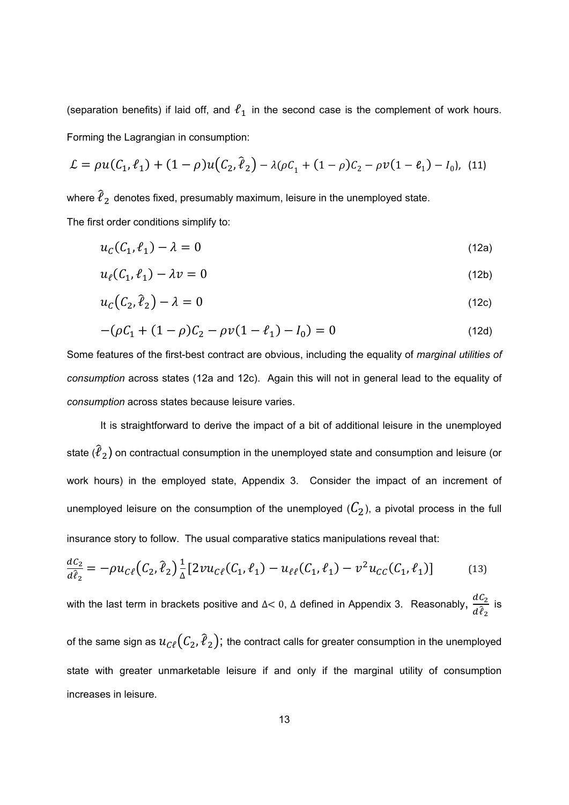(separation benefits) if laid off, and  $\ell_1$  in the second case is the complement of work hours. Forming the Lagrangian in consumption:

$$
\mathcal{L} = \rho u(C_1, \ell_1) + (1 - \rho) u(C_2, \ell_2) - \lambda (\rho C_1 + (1 - \rho) C_2 - \rho v (1 - \ell_1) - I_0), \tag{11}
$$

where  $\hat{\ell}_2$  denotes fixed, presumably maximum, leisure in the unemployed state. The first order conditions simplify to:

$$
u_c(C_1, \ell_1) - \lambda = 0 \tag{12a}
$$

$$
u_{\ell}(C_1, \ell_1) - \lambda v = 0 \tag{12b}
$$

$$
u_c(C_2, \hat{\ell}_2) - \lambda = 0 \tag{12c}
$$

$$
-(\rho C_1 + (1 - \rho)C_2 - \rho v(1 - \ell_1) - I_0) = 0
$$
\n(12d)

Some features of the first-best contract are obvious, including the equality of *marginal utilities of consumption* across states (12a and 12c). Again this will not in general lead to the equality of *consumption* across states because leisure varies.

It is straightforward to derive the impact of a bit of additional leisure in the unemployed state  $(\hat{\ell}_2)$  on contractual consumption in the unemployed state and consumption and leisure (or work hours) in the employed state, Appendix 3. Consider the impact of an increment of unemployed leisure on the consumption of the unemployed  $(\mathcal{C}_2)$ , a pivotal process in the full insurance story to follow. The usual comparative statics manipulations reveal that:

$$
\frac{dC_2}{d\hat{\ell}_2} = -\rho u_{C\ell} (C_2, \hat{\ell}_2) \frac{1}{\Delta} [2\nu u_{C\ell} (C_1, \ell_1) - u_{\ell\ell} (C_1, \ell_1) - v^2 u_{C\ell} (C_1, \ell_1)] \tag{13}
$$

with the last term in brackets positive and ∆< 0, ∆ defined in Appendix 3. Reasonably,  $\frac{dC_2}{d\hat{\ell}_2}$  is

of the same sign as  $u_{\mathcal{C}\ell}(\mathcal{C}_2,\hat{\ell}_2)$ ; the contract calls for greater consumption in the unemployed state with greater unmarketable leisure if and only if the marginal utility of consumption increases in leisure.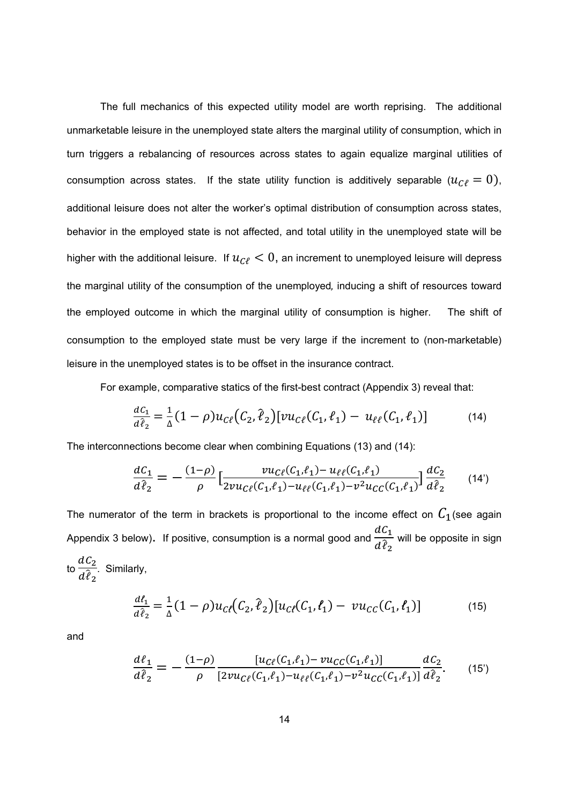The full mechanics of this expected utility model are worth reprising. The additional unmarketable leisure in the unemployed state alters the marginal utility of consumption, which in turn triggers a rebalancing of resources across states to again equalize marginal utilities of consumption across states. If the state utility function is additively separable ( $u_{\mathcal{C}\ell}=0$ ), additional leisure does not alter the worker's optimal distribution of consumption across states, behavior in the employed state is not affected, and total utility in the unemployed state will be higher with the additional leisure. If  $u_{\mathcal{C}\ell} < 0$ , an increment to unemployed leisure will depress the marginal utility of the consumption of the unemployed, inducing a shift of resources toward the employed outcome in which the marginal utility of consumption is higher. The shift of consumption to the employed state must be very large if the increment to (non-marketable) leisure in the unemployed states is to be offset in the insurance contract.

For example, comparative statics of the first-best contract (Appendix 3) reveal that:

$$
\frac{dC_1}{d\hat{\ell}_2} = \frac{1}{\Delta} (1 - \rho) u_{\mathcal{C}\ell} (C_2, \hat{\ell}_2) [v u_{\mathcal{C}\ell} (C_1, \ell_1) - u_{\ell\ell} (C_1, \ell_1)] \tag{14}
$$

The interconnections become clear when combining Equations (13) and (14):

$$
\frac{dC_1}{d\hat{\ell}_2} = -\frac{(1-\rho)}{\rho} \left[ \frac{\nu u_{C\ell}(C_1,\ell_1) - u_{\ell\ell}(C_1,\ell_1)}{2\nu u_{C\ell}(C_1,\ell_1) - u_{\ell\ell}(C_1,\ell_1) - \nu^2 u_{CC}(C_1,\ell_1)} \right] \frac{dC_2}{d\hat{\ell}_2} \tag{14'}
$$

The numerator of the term in brackets is proportional to the income effect on  $C_1$  (see again Appendix 3 below). If positive, consumption is a normal good and  $\frac{dC_1}{d\hat{\theta}}$  $\frac{1}{d \hat{\ell}_2}$  will be opposite in sign to  $\frac{dC_2}{d}$  $\frac{2}{d\hat{\ell}_2}$ . Similarly,

$$
\frac{d\ell_1}{d\hat{\ell}_2} = \frac{1}{\Delta} (1 - \rho) u_{C\ell} (C_2, \hat{\ell}_2) [u_{C\ell} (C_1, \ell_1) - v u_{CC} (C_1, \ell_1)] \tag{15}
$$

and

$$
\frac{d\ell_1}{d\hat{\ell}_2} = -\frac{(1-\rho)}{\rho} \frac{[u_{C\ell}(C_1,\ell_1) - vu_{CC}(C_1,\ell_1)]}{[2vu_{C\ell}(C_1,\ell_1) - u_{\ell\ell}(C_1,\ell_1) - v^2u_{CC}(C_1,\ell_1)]}\frac{dC_2}{d\hat{\ell}_2}.
$$
(15')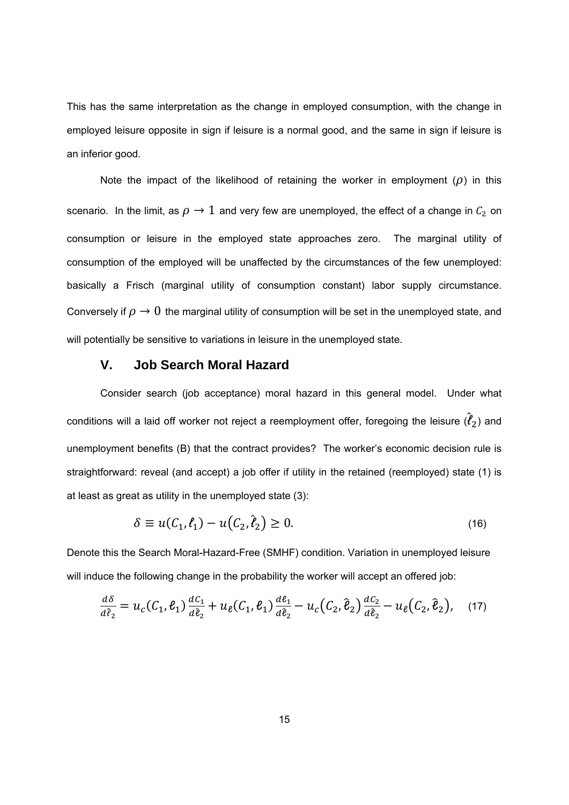This has the same interpretation as the change in employed consumption, with the change in employed leisure opposite in sign if leisure is a normal good, and the same in sign if leisure is an inferior good.

Note the impact of the likelihood of retaining the worker in employment  $(\rho)$  in this scenario. In the limit, as  $\rho \to 1$  and very few are unemployed, the effect of a change in  $\mathcal{C}_2$  on consumption or leisure in the employed state approaches zero. The marginal utility of consumption of the employed will be unaffected by the circumstances of the few unemployed: basically a Frisch (marginal utility of consumption constant) labor supply circumstance. Conversely if  $\rho \rightarrow 0$  the marginal utility of consumption will be set in the unemployed state, and will potentially be sensitive to variations in leisure in the unemployed state.

#### **V. Job Search Moral Hazard**

Consider search (job acceptance) moral hazard in this general model. Under what conditions will a laid off worker not reject a reemployment offer, foregoing the leisure  $(\hat{\ell}_2)$  and unemployment benefits (B) that the contract provides? The worker's economic decision rule is straightforward: reveal (and accept) a job offer if utility in the retained (reemployed) state (1) is at least as great as utility in the unemployed state (3):

$$
\delta \equiv u(C_1, \ell_1) - u(C_2, \hat{\ell}_2) \ge 0. \tag{16}
$$

Denote this the Search Moral-Hazard-Free (SMHF) condition. Variation in unemployed leisure will induce the following change in the probability the worker will accept an offered job:

$$
\frac{d\delta}{d\hat{\ell}_2} = u_c(C_1, \ell_1) \frac{dC_1}{d\hat{\ell}_2} + u_{\ell}(C_1, \ell_1) \frac{d\ell_1}{d\hat{\ell}_2} - u_c(C_2, \hat{\ell}_2) \frac{dC_2}{d\hat{\ell}_2} - u_{\ell}(C_2, \hat{\ell}_2), \quad (17)
$$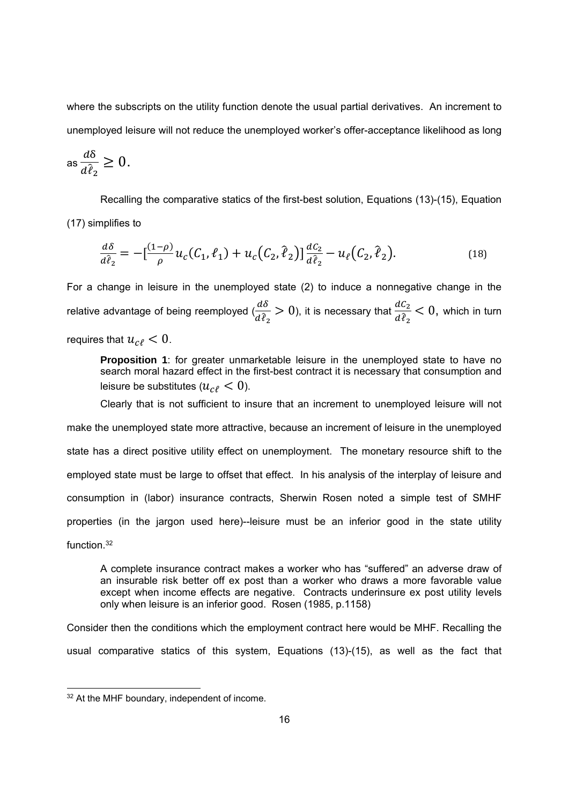where the subscripts on the utility function denote the usual partial derivatives. An increment to unemployed leisure will not reduce the unemployed worker's offer-acceptance likelihood as long

$$
\operatorname{as} \frac{d\delta}{d\hat{\ell}_2} \ge 0.
$$

Recalling the comparative statics of the first-best solution, Equations (13)-(15), Equation (17) simplifies to

$$
\frac{d\delta}{d\hat{\ell}_2} = -\left[\frac{(1-\rho)}{\rho}u_c(C_1, \ell_1) + u_c(C_2, \hat{\ell}_2)\right]\frac{dC_2}{d\hat{\ell}_2} - u_{\ell}(C_2, \hat{\ell}_2).
$$
(18)

For a change in leisure in the unemployed state (2) to induce a nonnegative change in the relative advantage of being reemployed  $\frac{d\delta}{dx}$  $\frac{d\delta}{d\hat{\ell}_2}$  > 0), it is necessary that  $\frac{d\mathcal{C}_2}{d\hat{\ell}_2}$  $rac{ac_2}{d\hat{\ell}_2}$  < 0, which in turn

requires that  $u_{\text{cf}} < 0$ .

**Proposition 1**: for greater unmarketable leisure in the unemployed state to have no search moral hazard effect in the first-best contract it is necessary that consumption and leisure be substitutes ( $u_{\alpha\ell} < 0$ ).

Clearly that is not sufficient to insure that an increment to unemployed leisure will not make the unemployed state more attractive, because an increment of leisure in the unemployed state has a direct positive utility effect on unemployment. The monetary resource shift to the employed state must be large to offset that effect. In his analysis of the interplay of leisure and consumption in (labor) insurance contracts, Sherwin Rosen noted a simple test of SMHF properties (in the jargon used here)--leisure must be an inferior good in the state utility function.32

A complete insurance contract makes a worker who has "suffered" an adverse draw of an insurable risk better off ex post than a worker who draws a more favorable value except when income effects are negative. Contracts underinsure ex post utility levels only when leisure is an inferior good. Rosen (1985, p.1158)

Consider then the conditions which the employment contract here would be MHF. Recalling the usual comparative statics of this system, Equations (13)-(15), as well as the fact that

<sup>32</sup> At the MHF boundary, independent of income.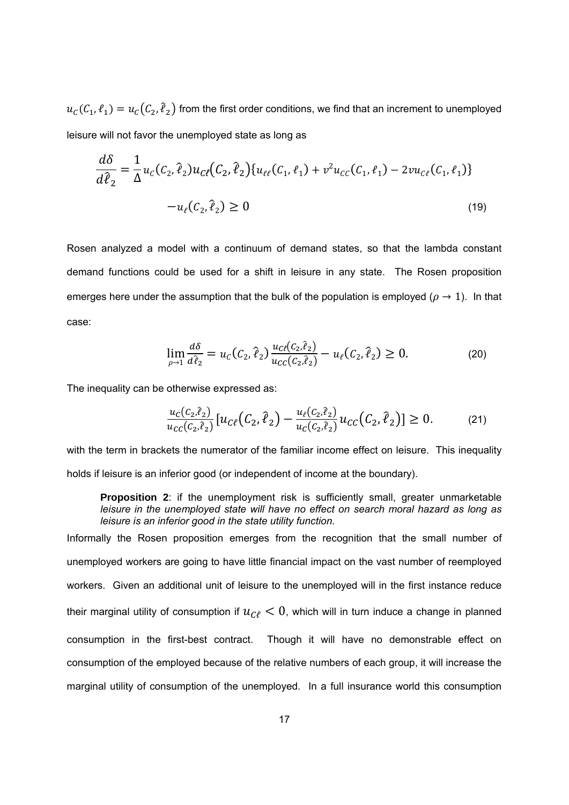$u_c(C_1, \ell_1) = u_c(C_2, \ell_2)$  from the first order conditions, we find that an increment to unemployed leisure will not favor the unemployed state as long as

$$
\frac{d\delta}{d\hat{\ell}_2} = \frac{1}{\Delta} u_c(C_2, \hat{\ell}_2) u_{c\ell}(C_2, \hat{\ell}_2) \{u_{\ell\ell}(C_1, \ell_1) + v^2 u_{cc}(C_1, \ell_1) - 2vu_{c\ell}(C_1, \ell_1)\}
$$

$$
-u_{\ell}(C_2, \hat{\ell}_2) \ge 0
$$
\n(19)

Rosen analyzed a model with a continuum of demand states, so that the lambda constant demand functions could be used for a shift in leisure in any state. The Rosen proposition emerges here under the assumption that the bulk of the population is employed ( $\rho \rightarrow 1$ ). In that case:

$$
\lim_{\rho \to 1} \frac{d\delta}{d\hat{\ell}_2} = u_C(C_2, \hat{\ell}_2) \frac{u_{C\ell}(C_2, \hat{\ell}_2)}{u_{CC}(C_2, \hat{\ell}_2)} - u_{\ell}(C_2, \hat{\ell}_2) \ge 0.
$$
\n(20)

The inequality can be otherwise expressed as:

$$
\frac{u_C(C_2,\hat{\ell}_2)}{u_{CC}(C_2,\hat{\ell}_2)}\left[u_{C\ell}(C_2,\hat{\ell}_2) - \frac{u_{\ell}(C_2,\hat{\ell}_2)}{u_C(C_2,\hat{\ell}_2)}u_{CC}(C_2,\hat{\ell}_2)\right] \ge 0. \tag{21}
$$

with the term in brackets the numerator of the familiar income effect on leisure. This inequality holds if leisure is an inferior good (or independent of income at the boundary).

**Proposition 2**: if the unemployment risk is sufficiently small, greater unmarketable *leisure in the unemployed state will have no effect on search moral hazard as long as leisure is an inferior good in the state utility function.* 

Informally the Rosen proposition emerges from the recognition that the small number of unemployed workers are going to have little financial impact on the vast number of reemployed workers. Given an additional unit of leisure to the unemployed will in the first instance reduce their marginal utility of consumption if  $u_{\gamma} < 0$ , which will in turn induce a change in planned consumption in the first-best contract. Though it will have no demonstrable effect on consumption of the employed because of the relative numbers of each group, it will increase the marginal utility of consumption of the unemployed. In a full insurance world this consumption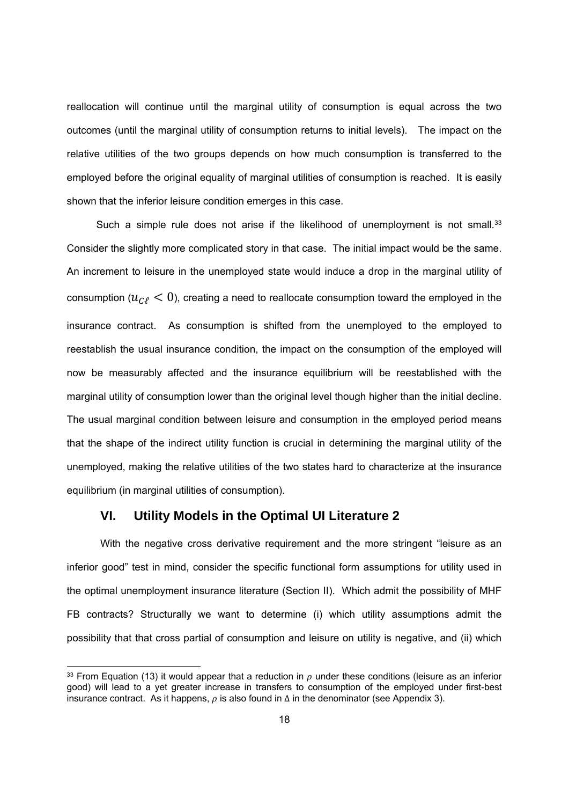reallocation will continue until the marginal utility of consumption is equal across the two outcomes (until the marginal utility of consumption returns to initial levels). The impact on the relative utilities of the two groups depends on how much consumption is transferred to the employed before the original equality of marginal utilities of consumption is reached. It is easily shown that the inferior leisure condition emerges in this case.

Such a simple rule does not arise if the likelihood of unemployment is not small.<sup>33</sup> Consider the slightly more complicated story in that case. The initial impact would be the same. An increment to leisure in the unemployed state would induce a drop in the marginal utility of consumption ( $u_{\gamma}$   $\langle 0 \rangle$ , creating a need to reallocate consumption toward the employed in the insurance contract. As consumption is shifted from the unemployed to the employed to reestablish the usual insurance condition, the impact on the consumption of the employed will now be measurably affected and the insurance equilibrium will be reestablished with the marginal utility of consumption lower than the original level though higher than the initial decline. The usual marginal condition between leisure and consumption in the employed period means that the shape of the indirect utility function is crucial in determining the marginal utility of the unemployed, making the relative utilities of the two states hard to characterize at the insurance equilibrium (in marginal utilities of consumption).

#### **VI. Utility Models in the Optimal UI Literature 2**

1

With the negative cross derivative requirement and the more stringent "leisure as an inferior good" test in mind, consider the specific functional form assumptions for utility used in the optimal unemployment insurance literature (Section II). Which admit the possibility of MHF FB contracts? Structurally we want to determine (i) which utility assumptions admit the possibility that that cross partial of consumption and leisure on utility is negative, and (ii) which

<sup>&</sup>lt;sup>33</sup> From Equation (13) it would appear that a reduction in  $\rho$  under these conditions (leisure as an inferior good) will lead to a yet greater increase in transfers to consumption of the employed under first-best insurance contract. As it happens,  $\rho$  is also found in  $\Delta$  in the denominator (see Appendix 3).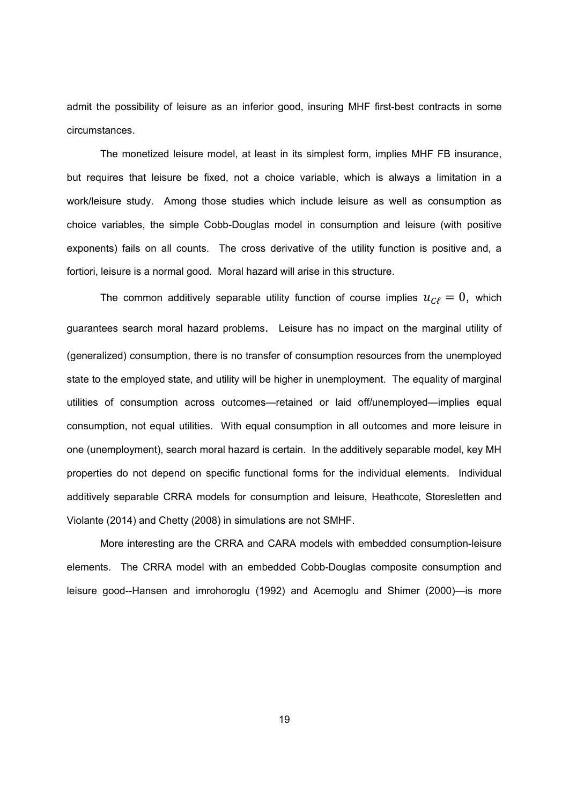admit the possibility of leisure as an inferior good, insuring MHF first-best contracts in some circumstances.

The monetized leisure model, at least in its simplest form, implies MHF FB insurance, but requires that leisure be fixed, not a choice variable, which is always a limitation in a work/leisure study. Among those studies which include leisure as well as consumption as choice variables, the simple Cobb-Douglas model in consumption and leisure (with positive exponents) fails on all counts. The cross derivative of the utility function is positive and, a fortiori, leisure is a normal good. Moral hazard will arise in this structure.

The common additively separable utility function of course implies  $u_{\mathcal{C}\ell} = 0$ , which guarantees search moral hazard problems. Leisure has no impact on the marginal utility of (generalized) consumption, there is no transfer of consumption resources from the unemployed state to the employed state, and utility will be higher in unemployment. The equality of marginal utilities of consumption across outcomes—retained or laid off/unemployed—implies equal consumption, not equal utilities. With equal consumption in all outcomes and more leisure in one (unemployment), search moral hazard is certain. In the additively separable model, key MH properties do not depend on specific functional forms for the individual elements. Individual additively separable CRRA models for consumption and leisure, Heathcote, Storesletten and Violante (2014) and Chetty (2008) in simulations are not SMHF.

More interesting are the CRRA and CARA models with embedded consumption-leisure elements. The CRRA model with an embedded Cobb-Douglas composite consumption and leisure good--Hansen and imrohoroglu (1992) and Acemoglu and Shimer (2000)—is more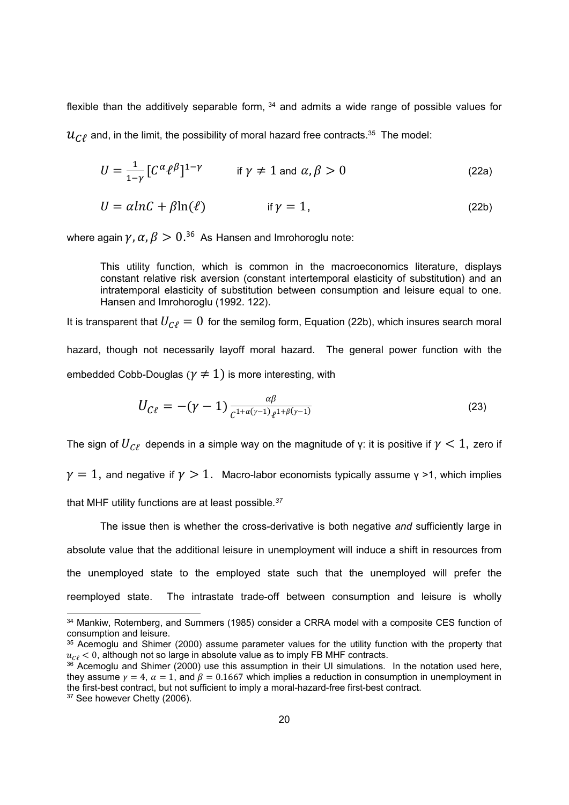flexible than the additively separable form,  $34$  and admits a wide range of possible values for  $\mathcal{U}_{\mathcal{C}\ell}$  and, in the limit, the possibility of moral hazard free contracts.<sup>35</sup> The model:

$$
U = \frac{1}{1-\gamma} \left[ C^{\alpha} \ell^{\beta} \right]^{1-\gamma} \qquad \text{if } \gamma \neq 1 \text{ and } \alpha, \beta > 0 \tag{22a}
$$

$$
U = \alpha ln C + \beta ln(\ell) \qquad \text{if } \gamma = 1,
$$
 (22b)

where again  $\gamma$ ,  $\alpha$ ,  $\beta > 0. ^{36}$  As Hansen and Imrohoroglu note:

This utility function, which is common in the macroeconomics literature, displays constant relative risk aversion (constant intertemporal elasticity of substitution) and an intratemporal elasticity of substitution between consumption and leisure equal to one. Hansen and Imrohoroglu (1992. 122).

It is transparent that  $U_{\mathcal{C}\ell} = 0$  for the semilog form, Equation (22b), which insures search moral hazard, though not necessarily layoff moral hazard. The general power function with the embedded Cobb-Douglas ( $\gamma \neq 1$ ) is more interesting, with

$$
U_{C\ell} = -(\gamma - 1) \frac{\alpha \beta}{c^{1 + \alpha(\gamma - 1)} \ell^{1 + \beta(\gamma - 1)}}
$$
(23)

The sign of  $U_{\mathcal{C}\ell}$  depends in a simple way on the magnitude of γ: it is positive if  $\gamma < 1$ , zero if

 $\gamma=1$ , and negative if  $\gamma>1$ . Macro-labor economists typically assume  $\gamma >1$ , which implies

that MHF utility functions are at least possible*. 37* 

The issue then is whether the cross-derivative is both negative *and* sufficiently large in absolute value that the additional leisure in unemployment will induce a shift in resources from the unemployed state to the employed state such that the unemployed will prefer the reemployed state. The intrastate trade-off between consumption and leisure is wholly

<sup>37</sup> See however Chetty (2006).

<sup>34</sup> Mankiw, Rotemberg, and Summers (1985) consider a CRRA model with a composite CES function of consumption and leisure.

<sup>&</sup>lt;sup>35</sup> Acemoglu and Shimer (2000) assume parameter values for the utility function with the property that  $u_{\text{C}l}$  < 0, although not so large in absolute value as to imply FB MHF contracts.

<sup>&</sup>lt;sup>36</sup> Acemoglu and Shimer (2000) use this assumption in their UI simulations. In the notation used here, they assume  $\gamma = 4$ ,  $\alpha = 1$ , and  $\beta = 0.1667$  which implies a reduction in consumption in unemployment in the first-best contract, but not sufficient to imply a moral-hazard-free first-best contract.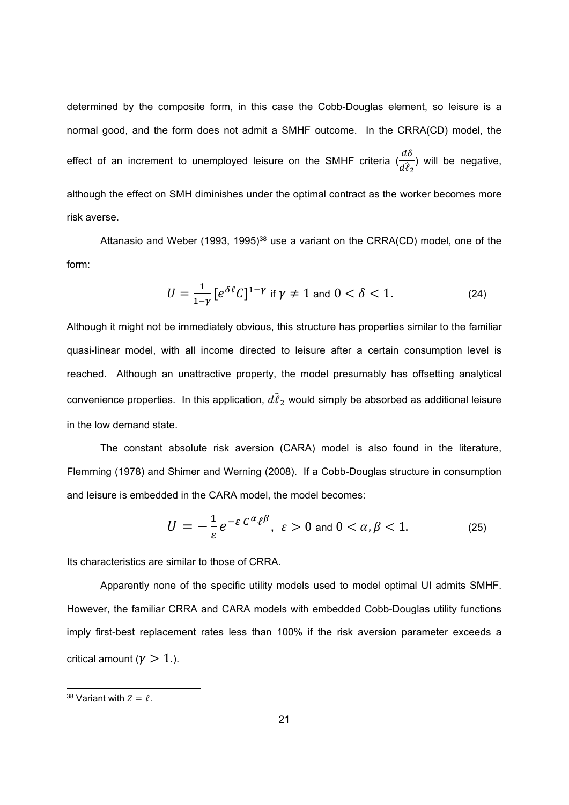determined by the composite form, in this case the Cobb-Douglas element, so leisure is a normal good, and the form does not admit a SMHF outcome. In the CRRA(CD) model, the effect of an increment to unemployed leisure on the SMHF criteria  $\left(\frac{d\delta}{d\delta}\right)$  $\frac{d\hat{e}}{d\hat{e}_2}$ ) will be negative, although the effect on SMH diminishes under the optimal contract as the worker becomes more risk averse.

Attanasio and Weber (1993, 1995)<sup>38</sup> use a variant on the CRRA(CD) model, one of the form:

$$
U = \frac{1}{1-\gamma} \left[ e^{\delta \ell} C \right]^{1-\gamma} \text{ if } \gamma \neq 1 \text{ and } 0 < \delta < 1. \tag{24}
$$

Although it might not be immediately obvious, this structure has properties similar to the familiar quasi-linear model, with all income directed to leisure after a certain consumption level is reached. Although an unattractive property, the model presumably has offsetting analytical convenience properties. In this application,  $d\hat{\ell}_2$  would simply be absorbed as additional leisure in the low demand state.

The constant absolute risk aversion (CARA) model is also found in the literature, Flemming (1978) and Shimer and Werning (2008). If a Cobb-Douglas structure in consumption and leisure is embedded in the CARA model, the model becomes:

$$
U = -\frac{1}{\varepsilon} e^{-\varepsilon C^{\alpha} \ell^{\beta}}, \ \varepsilon > 0 \text{ and } 0 < \alpha, \beta < 1. \tag{25}
$$

Its characteristics are similar to those of CRRA.

Apparently none of the specific utility models used to model optimal UI admits SMHF. However, the familiar CRRA and CARA models with embedded Cobb-Douglas utility functions imply first-best replacement rates less than 100% if the risk aversion parameter exceeds a critical amount ( $\gamma > 1$ .).

-

<sup>&</sup>lt;sup>38</sup> Variant with  $Z = \ell$ .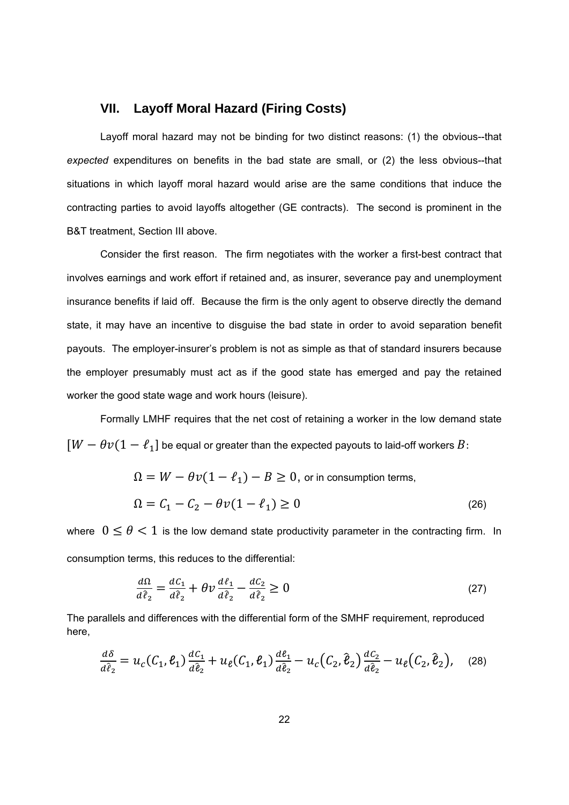#### **VII. Layoff Moral Hazard (Firing Costs)**

Layoff moral hazard may not be binding for two distinct reasons: (1) the obvious--that *expected* expenditures on benefits in the bad state are small, or (2) the less obvious--that situations in which layoff moral hazard would arise are the same conditions that induce the contracting parties to avoid layoffs altogether (GE contracts). The second is prominent in the B&T treatment, Section III above.

Consider the first reason. The firm negotiates with the worker a first-best contract that involves earnings and work effort if retained and, as insurer, severance pay and unemployment insurance benefits if laid off. Because the firm is the only agent to observe directly the demand state, it may have an incentive to disguise the bad state in order to avoid separation benefit payouts. The employer-insurer's problem is not as simple as that of standard insurers because the employer presumably must act as if the good state has emerged and pay the retained worker the good state wage and work hours (leisure).

Formally LMHF requires that the net cost of retaining a worker in the low demand state  $[W - \theta v(1 - \ell_1]$  be equal or greater than the expected payouts to laid-off workers  $B$ :

$$
\Omega = W - \theta v (1 - \ell_1) - B \ge 0, \text{ or in consumption terms,}
$$
  

$$
\Omega = C_1 - C_2 - \theta v (1 - \ell_1) \ge 0
$$
 (26)

where  $0 \le \theta < 1$  is the low demand state productivity parameter in the contracting firm. In consumption terms, this reduces to the differential:

$$
\frac{d\Omega}{d\hat{\ell}_2} = \frac{d\mathcal{C}_1}{d\hat{\ell}_2} + \theta \nu \frac{d\mathcal{\ell}_1}{d\hat{\ell}_2} - \frac{d\mathcal{C}_2}{d\hat{\ell}_2} \ge 0
$$
\n(27)

The parallels and differences with the differential form of the SMHF requirement, reproduced here,

$$
\frac{d\delta}{d\hat{\ell}_2} = u_c(C_1, \ell_1) \frac{dC_1}{d\hat{\ell}_2} + u_{\ell}(C_1, \ell_1) \frac{d\ell_1}{d\hat{\ell}_2} - u_c(C_2, \hat{\ell}_2) \frac{dC_2}{d\hat{\ell}_2} - u_{\ell}(C_2, \hat{\ell}_2), \quad (28)
$$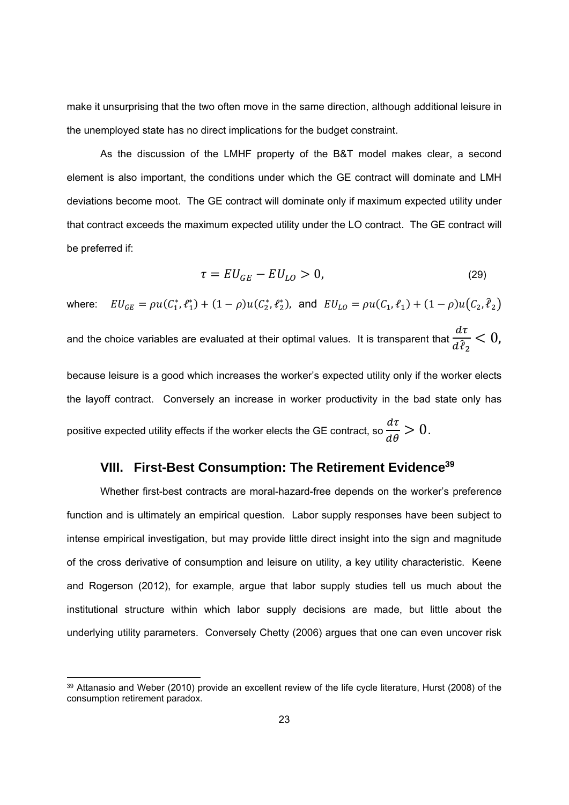make it unsurprising that the two often move in the same direction, although additional leisure in the unemployed state has no direct implications for the budget constraint.

As the discussion of the LMHF property of the B&T model makes clear, a second element is also important, the conditions under which the GE contract will dominate and LMH deviations become moot. The GE contract will dominate only if maximum expected utility under that contract exceeds the maximum expected utility under the LO contract. The GE contract will be preferred if:

$$
\tau = EU_{GE} - EU_{LO} > 0,\tag{29}
$$

where:  $EU_{GE} = \rho u(C_1^*, \ell_1^*) + (1 - \rho) u(C_2^*, \ell_2^*)$ , and  $EU_{LO} = \rho u(C_1, \ell_1) + (1 - \rho) u(C_2, \ell_2)$ and the choice variables are evaluated at their optimal values. It is transparent that  $d\tau$  $d\hat{\ell}_2$  $< 0$ , because leisure is a good which increases the worker's expected utility only if the worker elects the layoff contract. Conversely an increase in worker productivity in the bad state only has positive expected utility effects if the worker elects the GE contract, so  $\frac{d\tau}{d\theta} > 0.$ 

#### **VIII. First-Best Consumption: The Retirement Evidence39**

Whether first-best contracts are moral-hazard-free depends on the worker's preference function and is ultimately an empirical question. Labor supply responses have been subject to intense empirical investigation, but may provide little direct insight into the sign and magnitude of the cross derivative of consumption and leisure on utility, a key utility characteristic. Keene and Rogerson (2012), for example, argue that labor supply studies tell us much about the institutional structure within which labor supply decisions are made, but little about the underlying utility parameters. Conversely Chetty (2006) argues that one can even uncover risk

<sup>39</sup> Attanasio and Weber (2010) provide an excellent review of the life cycle literature, Hurst (2008) of the consumption retirement paradox.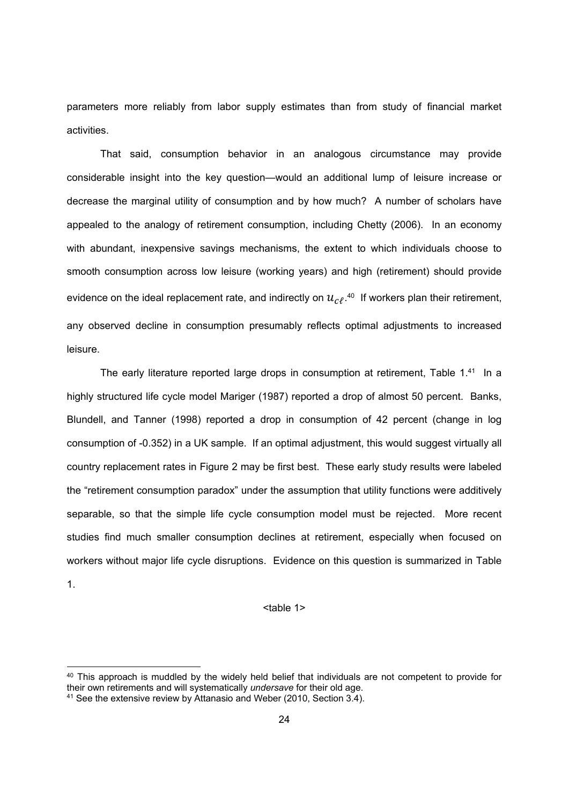parameters more reliably from labor supply estimates than from study of financial market activities.

That said, consumption behavior in an analogous circumstance may provide considerable insight into the key question—would an additional lump of leisure increase or decrease the marginal utility of consumption and by how much? A number of scholars have appealed to the analogy of retirement consumption, including Chetty (2006). In an economy with abundant, inexpensive savings mechanisms, the extent to which individuals choose to smooth consumption across low leisure (working years) and high (retirement) should provide evidence on the ideal replacement rate, and indirectly on  $u_{c\ell}$ .<sup>40</sup> If workers plan their retirement, any observed decline in consumption presumably reflects optimal adjustments to increased leisure.

The early literature reported large drops in consumption at retirement. Table 1.41 In a highly structured life cycle model Mariger (1987) reported a drop of almost 50 percent. Banks, Blundell, and Tanner (1998) reported a drop in consumption of 42 percent (change in log consumption of -0.352) in a UK sample. If an optimal adjustment, this would suggest virtually all country replacement rates in Figure 2 may be first best. These early study results were labeled the "retirement consumption paradox" under the assumption that utility functions were additively separable, so that the simple life cycle consumption model must be rejected. More recent studies find much smaller consumption declines at retirement, especially when focused on workers without major life cycle disruptions. Evidence on this question is summarized in Table 1.

#### <table 1>

<sup>40</sup> This approach is muddled by the widely held belief that individuals are not competent to provide for their own retirements and will systematically *undersave* for their old age.

<sup>41</sup> See the extensive review by Attanasio and Weber (2010, Section 3.4).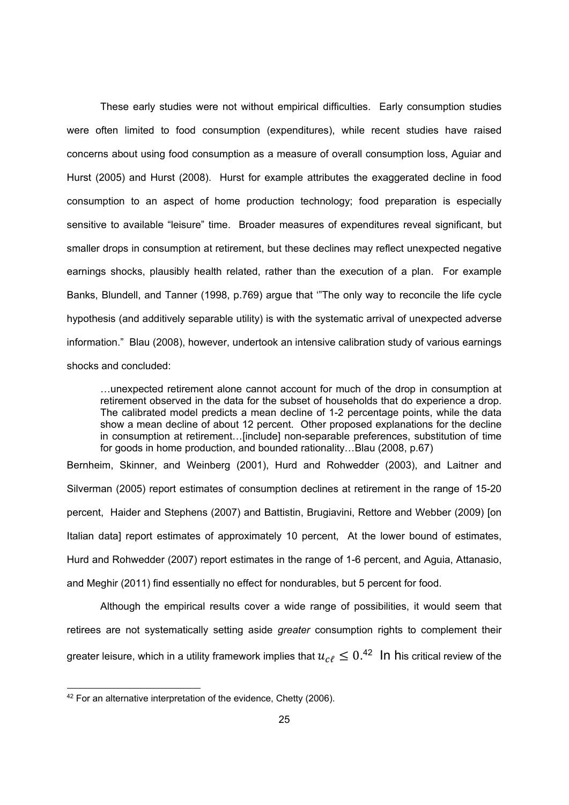These early studies were not without empirical difficulties. Early consumption studies were often limited to food consumption (expenditures), while recent studies have raised concerns about using food consumption as a measure of overall consumption loss, Aguiar and Hurst (2005) and Hurst (2008). Hurst for example attributes the exaggerated decline in food consumption to an aspect of home production technology; food preparation is especially sensitive to available "leisure" time. Broader measures of expenditures reveal significant, but smaller drops in consumption at retirement, but these declines may reflect unexpected negative earnings shocks, plausibly health related, rather than the execution of a plan. For example Banks, Blundell, and Tanner (1998, p.769) argue that '"The only way to reconcile the life cycle hypothesis (and additively separable utility) is with the systematic arrival of unexpected adverse information." Blau (2008), however, undertook an intensive calibration study of various earnings shocks and concluded:

…unexpected retirement alone cannot account for much of the drop in consumption at retirement observed in the data for the subset of households that do experience a drop. The calibrated model predicts a mean decline of 1-2 percentage points, while the data show a mean decline of about 12 percent. Other proposed explanations for the decline in consumption at retirement…[include] non-separable preferences, substitution of time for goods in home production, and bounded rationality…Blau (2008, p.67)

Bernheim, Skinner, and Weinberg (2001), Hurd and Rohwedder (2003), and Laitner and Silverman (2005) report estimates of consumption declines at retirement in the range of 15-20 percent, Haider and Stephens (2007) and Battistin, Brugiavini, Rettore and Webber (2009) [on Italian data] report estimates of approximately 10 percent, At the lower bound of estimates, Hurd and Rohwedder (2007) report estimates in the range of 1-6 percent, and Aguia, Attanasio, and Meghir (2011) find essentially no effect for nondurables, but 5 percent for food.

Although the empirical results cover a wide range of possibilities, it would seem that retirees are not systematically setting aside *greater* consumption rights to complement their greater leisure, which in a utility framework implies that  $u_{c\ell} \leq 0.^{42}\;$   $\;$  In  $\;$ his critical review of the

<sup>&</sup>lt;sup>42</sup> For an alternative interpretation of the evidence, Chetty (2006).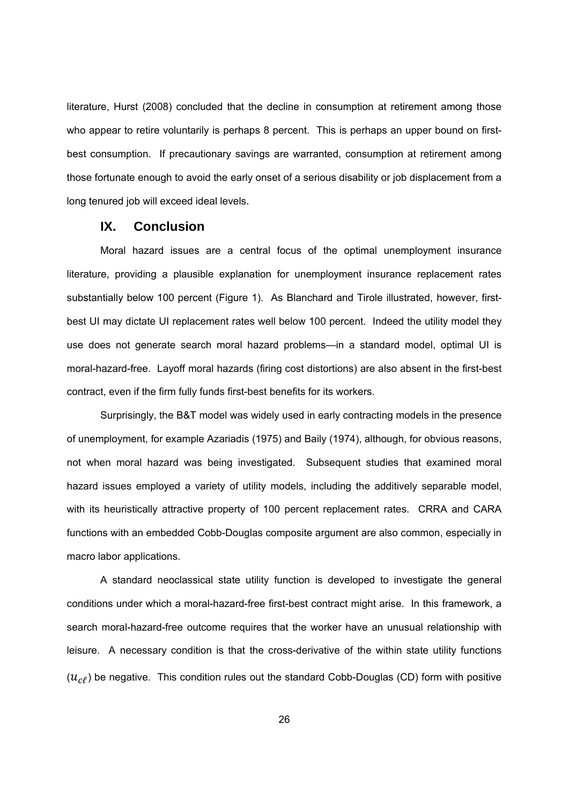literature, Hurst (2008) concluded that the decline in consumption at retirement among those who appear to retire voluntarily is perhaps 8 percent. This is perhaps an upper bound on firstbest consumption. If precautionary savings are warranted, consumption at retirement among those fortunate enough to avoid the early onset of a serious disability or job displacement from a long tenured job will exceed ideal levels.

#### **IX. Conclusion**

Moral hazard issues are a central focus of the optimal unemployment insurance literature, providing a plausible explanation for unemployment insurance replacement rates substantially below 100 percent (Figure 1). As Blanchard and Tirole illustrated, however, firstbest UI may dictate UI replacement rates well below 100 percent. Indeed the utility model they use does not generate search moral hazard problems—in a standard model, optimal UI is moral-hazard-free. Layoff moral hazards (firing cost distortions) are also absent in the first-best contract, even if the firm fully funds first-best benefits for its workers.

Surprisingly, the B&T model was widely used in early contracting models in the presence of unemployment, for example Azariadis (1975) and Baily (1974), although, for obvious reasons, not when moral hazard was being investigated. Subsequent studies that examined moral hazard issues employed a variety of utility models, including the additively separable model, with its heuristically attractive property of 100 percent replacement rates. CRRA and CARA functions with an embedded Cobb-Douglas composite argument are also common, especially in macro labor applications.

A standard neoclassical state utility function is developed to investigate the general conditions under which a moral-hazard-free first-best contract might arise. In this framework, a search moral-hazard-free outcome requires that the worker have an unusual relationship with leisure. A necessary condition is that the cross-derivative of the within state utility functions  $(u_{c})$  be negative. This condition rules out the standard Cobb-Douglas (CD) form with positive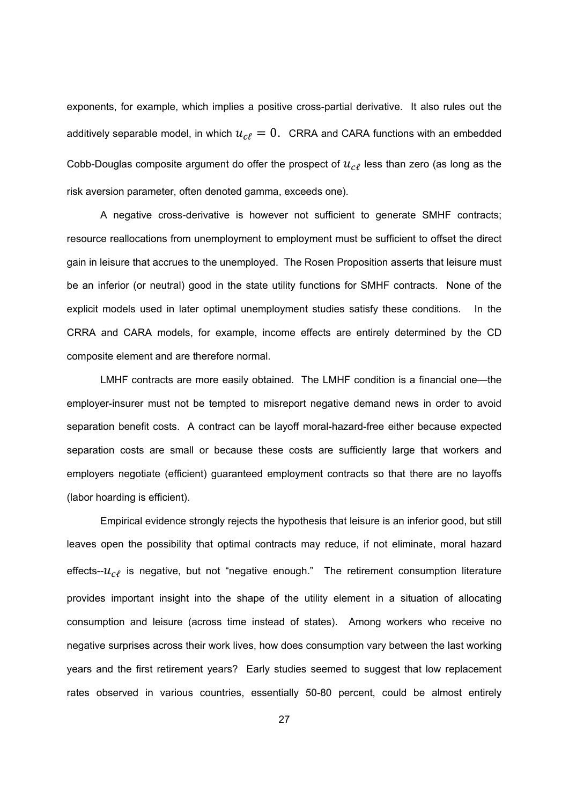exponents, for example, which implies a positive cross-partial derivative. It also rules out the additively separable model, in which  $u_{\text{cf}} = 0$ . CRRA and CARA functions with an embedded Cobb-Douglas composite argument do offer the prospect of  $u_{\text{cf}}$  less than zero (as long as the risk aversion parameter, often denoted gamma, exceeds one).

A negative cross-derivative is however not sufficient to generate SMHF contracts; resource reallocations from unemployment to employment must be sufficient to offset the direct gain in leisure that accrues to the unemployed. The Rosen Proposition asserts that leisure must be an inferior (or neutral) good in the state utility functions for SMHF contracts. None of the explicit models used in later optimal unemployment studies satisfy these conditions. In the CRRA and CARA models, for example, income effects are entirely determined by the CD composite element and are therefore normal.

LMHF contracts are more easily obtained. The LMHF condition is a financial one—the employer-insurer must not be tempted to misreport negative demand news in order to avoid separation benefit costs. A contract can be layoff moral-hazard-free either because expected separation costs are small or because these costs are sufficiently large that workers and employers negotiate (efficient) guaranteed employment contracts so that there are no layoffs (labor hoarding is efficient).

Empirical evidence strongly rejects the hypothesis that leisure is an inferior good, but still leaves open the possibility that optimal contracts may reduce, if not eliminate, moral hazard effects-- $u_{c}$  is negative, but not "negative enough." The retirement consumption literature provides important insight into the shape of the utility element in a situation of allocating consumption and leisure (across time instead of states). Among workers who receive no negative surprises across their work lives, how does consumption vary between the last working years and the first retirement years? Early studies seemed to suggest that low replacement rates observed in various countries, essentially 50-80 percent, could be almost entirely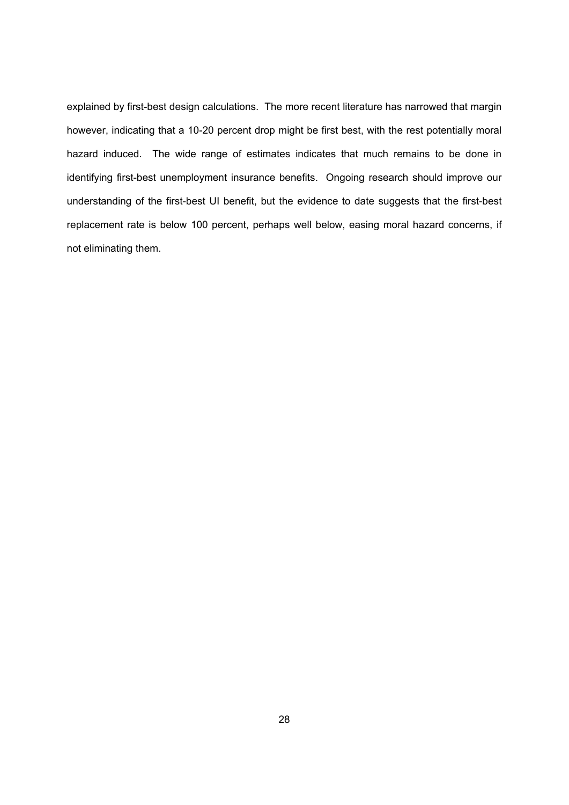explained by first-best design calculations. The more recent literature has narrowed that margin however, indicating that a 10-20 percent drop might be first best, with the rest potentially moral hazard induced. The wide range of estimates indicates that much remains to be done in identifying first-best unemployment insurance benefits. Ongoing research should improve our understanding of the first-best UI benefit, but the evidence to date suggests that the first-best replacement rate is below 100 percent, perhaps well below, easing moral hazard concerns, if not eliminating them.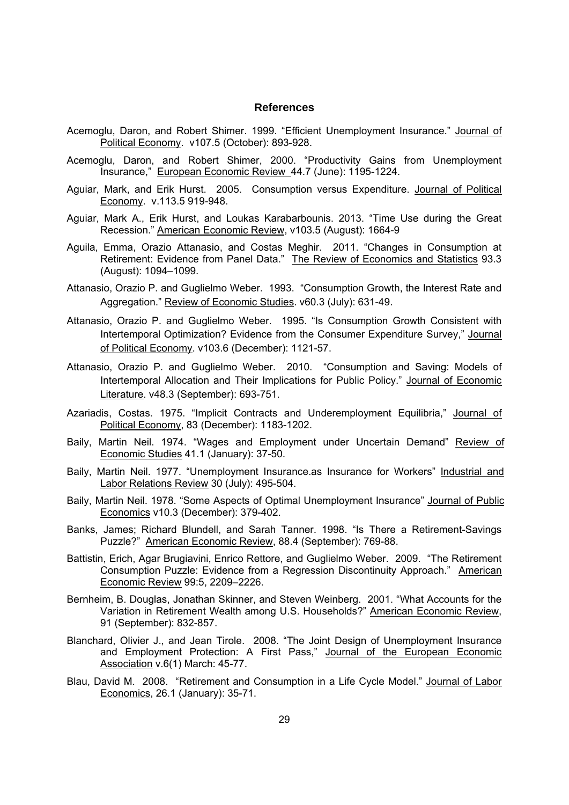#### **References**

- Acemoglu, Daron, and Robert Shimer. 1999. "Efficient Unemployment Insurance." Journal of Political Economy. v107.5 (October): 893-928.
- Acemoglu, Daron, and Robert Shimer, 2000. "Productivity Gains from Unemployment Insurance," European Economic Review 44.7 (June): 1195-1224.
- Aguiar, Mark, and Erik Hurst. 2005. Consumption versus Expenditure. Journal of Political Economy. v.113.5 919-948.
- Aguiar, Mark A., Erik Hurst, and Loukas Karabarbounis. 2013. "Time Use during the Great Recession." American Economic Review, v103.5 (August): 1664-9
- Aguila, Emma, Orazio Attanasio, and Costas Meghir. 2011. "Changes in Consumption at Retirement: Evidence from Panel Data." The Review of Economics and Statistics 93.3 (August): 1094–1099.
- Attanasio, Orazio P. and Guglielmo Weber. 1993. "Consumption Growth, the Interest Rate and Aggregation." Review of Economic Studies. v60.3 (July): 631-49.
- Attanasio, Orazio P. and Guglielmo Weber. 1995. "Is Consumption Growth Consistent with Intertemporal Optimization? Evidence from the Consumer Expenditure Survey," Journal of Political Economy. v103.6 (December): 1121-57.
- Attanasio, Orazio P. and Guglielmo Weber. 2010. "Consumption and Saving: Models of Intertemporal Allocation and Their Implications for Public Policy." Journal of Economic Literature. v48.3 (September): 693-751.
- Azariadis, Costas. 1975. "Implicit Contracts and Underemployment Equilibria," Journal of Political Economy, 83 (December): 1183-1202.
- Baily, Martin Neil. 1974. "Wages and Employment under Uncertain Demand" Review of Economic Studies 41.1 (January): 37-50.
- Baily, Martin Neil. 1977. "Unemployment Insurance.as Insurance for Workers" Industrial and Labor Relations Review 30 (July): 495-504.
- Baily, Martin Neil. 1978. "Some Aspects of Optimal Unemployment Insurance" Journal of Public Economics v10.3 (December): 379-402.
- Banks, James; Richard Blundell, and Sarah Tanner. 1998. "Is There a Retirement-Savings Puzzle?" American Economic Review, 88.4 (September): 769-88.
- Battistin, Erich, Agar Brugiavini, Enrico Rettore, and Guglielmo Weber. 2009. "The Retirement Consumption Puzzle: Evidence from a Regression Discontinuity Approach." American Economic Review 99:5, 2209–2226.
- Bernheim, B. Douglas, Jonathan Skinner, and Steven Weinberg. 2001. "What Accounts for the Variation in Retirement Wealth among U.S. Households?" American Economic Review, 91 (September): 832-857.
- Blanchard, Olivier J., and Jean Tirole. 2008. "The Joint Design of Unemployment Insurance and Employment Protection: A First Pass," Journal of the European Economic Association v.6(1) March: 45-77.
- Blau, David M. 2008. "Retirement and Consumption in a Life Cycle Model." Journal of Labor Economics, 26.1 (January): 35-71.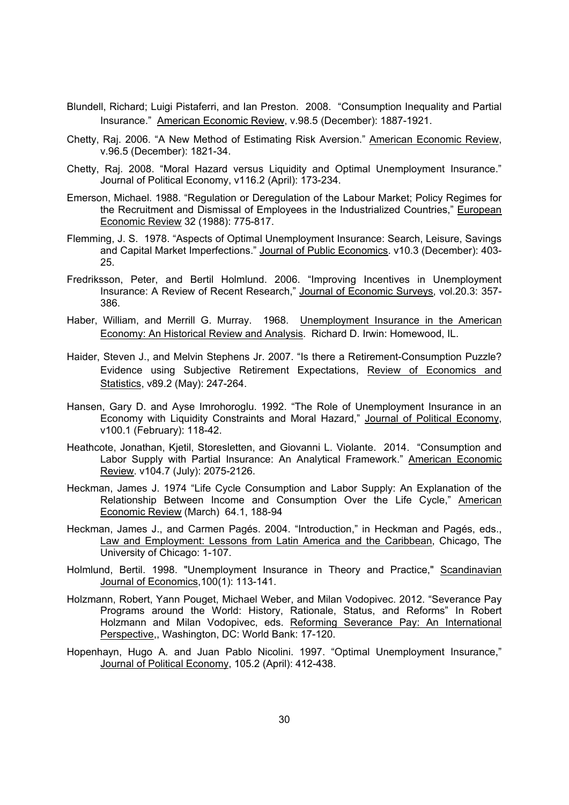- Blundell, Richard; Luigi Pistaferri, and Ian Preston. 2008. "Consumption Inequality and Partial Insurance." American Economic Review, v.98.5 (December): 1887-1921.
- Chetty, Raj. 2006. "A New Method of Estimating Risk Aversion." American Economic Review, v.96.5 (December): 1821-34.
- Chetty, Raj. 2008. "Moral Hazard versus Liquidity and Optimal Unemployment Insurance." Journal of Political Economy, v116.2 (April): 173-234.
- Emerson, Michael. 1988. "Regulation or Deregulation of the Labour Market; Policy Regimes for the Recruitment and Dismissal of Employees in the Industrialized Countries," European Economic Review 32 (1988): 775-817.
- Flemming, J. S. 1978. "Aspects of Optimal Unemployment Insurance: Search, Leisure, Savings and Capital Market Imperfections." Journal of Public Economics. v10.3 (December): 403- 25.
- Fredriksson, Peter, and Bertil Holmlund. 2006. "Improving Incentives in Unemployment Insurance: A Review of Recent Research," Journal of Economic Surveys, vol.20.3: 357- 386.
- Haber, William, and Merrill G. Murray. 1968. Unemployment Insurance in the American Economy: An Historical Review and Analysis. Richard D. Irwin: Homewood, IL.
- Haider, Steven J., and Melvin Stephens Jr. 2007. "Is there a Retirement-Consumption Puzzle? Evidence using Subjective Retirement Expectations, Review of Economics and Statistics, v89.2 (May): 247-264.
- Hansen, Gary D. and Ayse Imrohoroglu. 1992. "The Role of Unemployment Insurance in an Economy with Liquidity Constraints and Moral Hazard," Journal of Political Economy, v100.1 (February): 118-42.
- Heathcote, Jonathan, Kjetil, Storesletten, and Giovanni L. Violante. 2014. "Consumption and Labor Supply with Partial Insurance: An Analytical Framework." American Economic Review. v104.7 (July): 2075-2126.
- Heckman, James J. 1974 "Life Cycle Consumption and Labor Supply: An Explanation of the Relationship Between Income and Consumption Over the Life Cycle," American Economic Review (March) 64.1, 188-94
- Heckman, James J., and Carmen Pagés. 2004. "Introduction," in Heckman and Pagés, eds., Law and Employment: Lessons from Latin America and the Caribbean, Chicago, The University of Chicago: 1-107.
- Holmlund, Bertil. 1998. "Unemployment Insurance in Theory and Practice," Scandinavian Journal of Economics,100(1): 113-141.
- Holzmann, Robert, Yann Pouget, Michael Weber, and Milan Vodopivec. 2012. "Severance Pay Programs around the World: History, Rationale, Status, and Reforms" In Robert Holzmann and Milan Vodopivec, eds. Reforming Severance Pay: An International Perspective,, Washington, DC: World Bank: 17-120.
- Hopenhayn, Hugo A. and Juan Pablo Nicolini. 1997. "Optimal Unemployment Insurance," Journal of Political Economy, 105.2 (April): 412-438.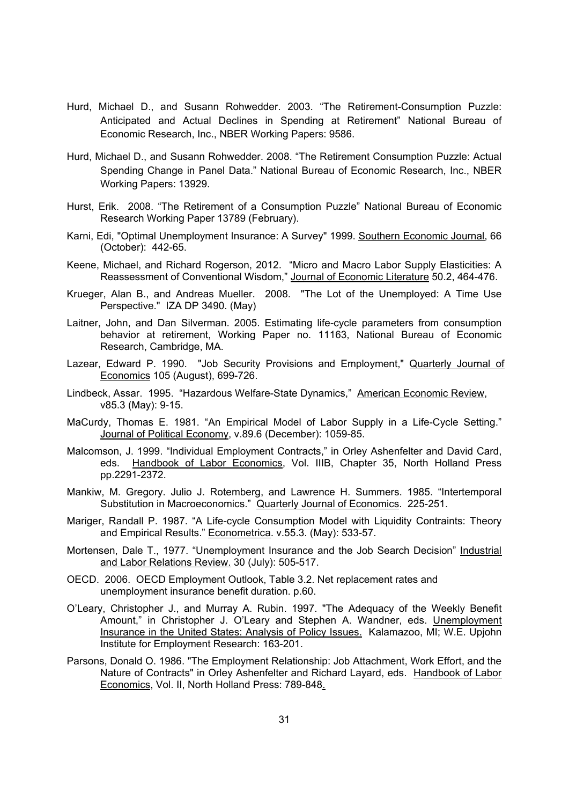- Hurd, Michael D., and Susann Rohwedder. 2003. "The Retirement-Consumption Puzzle: Anticipated and Actual Declines in Spending at Retirement" National Bureau of Economic Research, Inc., NBER Working Papers: 9586.
- Hurd, Michael D., and Susann Rohwedder. 2008. "The Retirement Consumption Puzzle: Actual Spending Change in Panel Data." National Bureau of Economic Research, Inc., NBER Working Papers: 13929.
- Hurst, Erik. 2008. "The Retirement of a Consumption Puzzle" National Bureau of Economic Research Working Paper 13789 (February).
- Karni, Edi, "Optimal Unemployment Insurance: A Survey" 1999. Southern Economic Journal, 66 (October): 442-65.
- Keene, Michael, and Richard Rogerson, 2012. "Micro and Macro Labor Supply Elasticities: A Reassessment of Conventional Wisdom," Journal of Economic Literature 50.2, 464-476.
- Krueger, Alan B., and Andreas Mueller. 2008. "The Lot of the Unemployed: A Time Use Perspective." IZA DP 3490. (May)
- Laitner, John, and Dan Silverman. 2005. Estimating life-cycle parameters from consumption behavior at retirement, Working Paper no. 11163, National Bureau of Economic Research, Cambridge, MA.
- Lazear, Edward P. 1990. "Job Security Provisions and Employment," Quarterly Journal of Economics 105 (August), 699-726.
- Lindbeck, Assar. 1995. "Hazardous Welfare-State Dynamics," American Economic Review, v85.3 (May): 9-15.
- MaCurdy, Thomas E. 1981. "An Empirical Model of Labor Supply in a Life-Cycle Setting." Journal of Political Economy, v.89.6 (December): 1059-85.
- Malcomson, J. 1999. "Individual Employment Contracts," in Orley Ashenfelter and David Card, eds. Handbook of Labor Economics, Vol. IIIB, Chapter 35, North Holland Press pp.2291-2372.
- Mankiw, M. Gregory. Julio J. Rotemberg, and Lawrence H. Summers. 1985. "Intertemporal Substitution in Macroeconomics." Quarterly Journal of Economics. 225-251.
- Mariger, Randall P. 1987. "A Life-cycle Consumption Model with Liquidity Contraints: Theory and Empirical Results." Econometrica. v.55.3. (May): 533-57.
- Mortensen, Dale T., 1977. "Unemployment Insurance and the Job Search Decision" Industrial and Labor Relations Review. 30 (July): 505-517.
- OECD. 2006. OECD Employment Outlook, Table 3.2. Net replacement rates and unemployment insurance benefit duration. p.60.
- O'Leary, Christopher J., and Murray A. Rubin. 1997. "The Adequacy of the Weekly Benefit Amount," in Christopher J. O'Leary and Stephen A. Wandner, eds. Unemployment Insurance in the United States: Analysis of Policy Issues.Kalamazoo, MI; W.E. Upjohn Institute for Employment Research: 163-201.
- Parsons, Donald O. 1986. "The Employment Relationship: Job Attachment, Work Effort, and the Nature of Contracts" in Orley Ashenfelter and Richard Layard, eds. Handbook of Labor Economics, Vol. II, North Holland Press: 789-848.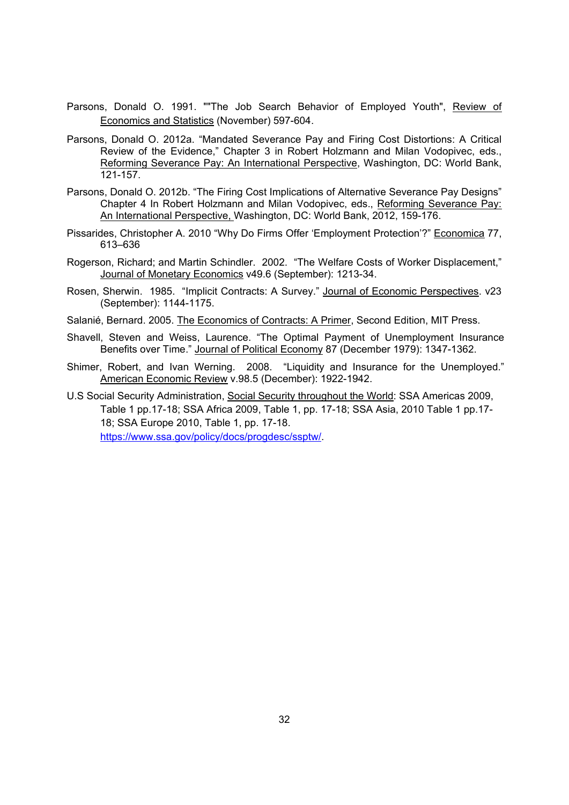- Parsons, Donald O. 1991. ""The Job Search Behavior of Employed Youth", Review of Economics and Statistics (November) 597-604.
- Parsons, Donald O. 2012a. "Mandated Severance Pay and Firing Cost Distortions: A Critical Review of the Evidence," Chapter 3 in Robert Holzmann and Milan Vodopivec, eds., Reforming Severance Pay: An International Perspective, Washington, DC: World Bank, 121-157.
- Parsons, Donald O. 2012b. "The Firing Cost Implications of Alternative Severance Pay Designs" Chapter 4 In Robert Holzmann and Milan Vodopivec, eds., Reforming Severance Pay: An International Perspective, Washington, DC: World Bank, 2012, 159-176.
- Pissarides, Christopher A. 2010 "Why Do Firms Offer 'Employment Protection'?" Economica 77, 613–636
- Rogerson, Richard; and Martin Schindler. 2002. "The Welfare Costs of Worker Displacement," Journal of Monetary Economics v49.6 (September): 1213-34.
- Rosen, Sherwin. 1985. "Implicit Contracts: A Survey." Journal of Economic Perspectives. v23 (September): 1144-1175.
- Salanié, Bernard. 2005. The Economics of Contracts: A Primer, Second Edition, MIT Press.
- Shavell, Steven and Weiss, Laurence. "The Optimal Payment of Unemployment Insurance Benefits over Time." Journal of Political Economy 87 (December 1979): 1347-1362.
- Shimer, Robert, and Ivan Werning. 2008. "Liquidity and Insurance for the Unemployed." American Economic Review v.98.5 (December): 1922-1942.
- U.S Social Security Administration, Social Security throughout the World: SSA Americas 2009, Table 1 pp.17-18; SSA Africa 2009, Table 1, pp. 17-18; SSA Asia, 2010 Table 1 pp.17- 18; SSA Europe 2010, Table 1, pp. 17-18. https://www.ssa.gov/policy/docs/progdesc/ssptw/.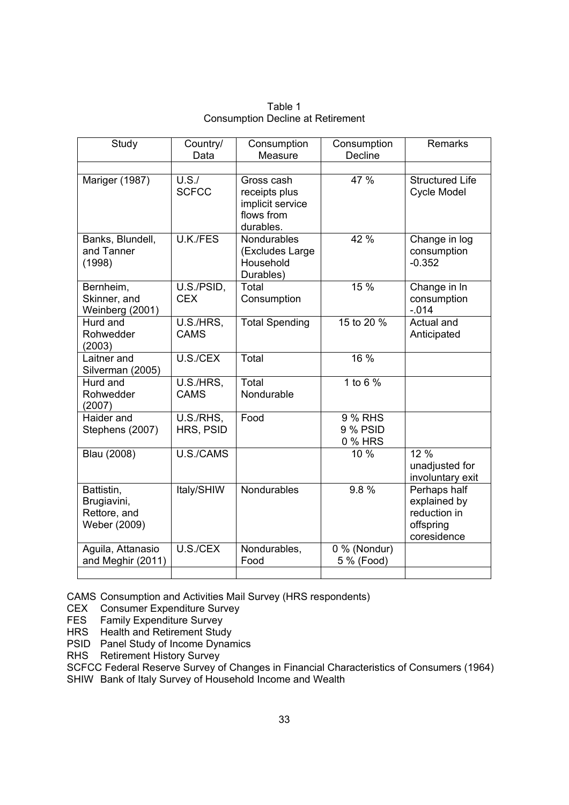| Study                                                     | Country/<br>Data         | Consumption<br>Measure                                                     | Consumption<br>Decline         | <b>Remarks</b>                                                           |
|-----------------------------------------------------------|--------------------------|----------------------------------------------------------------------------|--------------------------------|--------------------------------------------------------------------------|
|                                                           |                          |                                                                            |                                |                                                                          |
| Mariger (1987)                                            | U.S./<br><b>SCFCC</b>    | Gross cash<br>receipts plus<br>implicit service<br>flows from<br>durables. | 47 %                           | <b>Structured Life</b><br>Cycle Model                                    |
| Banks, Blundell,<br>and Tanner<br>(1998)                  | U.K./FES                 | Nondurables<br>(Excludes Large<br>Household<br>Durables)                   | 42 %                           | Change in log<br>consumption<br>$-0.352$                                 |
| Bernheim,<br>Skinner, and<br>Weinberg (2001)              | U.S./PSID,<br><b>CEX</b> | Total<br>Consumption                                                       | 15 %                           | Change in In<br>consumption<br>$-0.14$                                   |
| Hurd and<br>Rohwedder<br>(2003)                           | U.S./HRS,<br><b>CAMS</b> | <b>Total Spending</b>                                                      | 15 to 20 %                     | Actual and<br>Anticipated                                                |
| Laitner and<br>Silverman (2005)                           | U.S./CEX                 | Total                                                                      | 16 %                           |                                                                          |
| Hurd and<br>Rohwedder<br>(2007)                           | U.S./HRS,<br><b>CAMS</b> | Total<br>Nondurable                                                        | 1 to 6 $%$                     |                                                                          |
| Haider and<br>Stephens (2007)                             | U.S./RHS,<br>HRS, PSID   | Food                                                                       | 9 % RHS<br>9 % PSID<br>0 % HRS |                                                                          |
| Blau (2008)                                               | U.S./CAMS                |                                                                            | 10 %                           | 12 %<br>unadjusted for<br>involuntary exit                               |
| Battistin,<br>Brugiavini,<br>Rettore, and<br>Weber (2009) | Italy/SHIW               | Nondurables                                                                | 9.8%                           | Perhaps half<br>explained by<br>reduction in<br>offspring<br>coresidence |
| Aguila, Attanasio<br>and Meghir (2011)                    | U.S./CEX                 | Nondurables,<br>Food                                                       | 0 % (Nondur)<br>5 % (Food)     |                                                                          |
|                                                           |                          |                                                                            |                                |                                                                          |

Table 1 Consumption Decline at Retirement

CAMS Consumption and Activities Mail Survey (HRS respondents)

CEX Consumer Expenditure Survey

FES Family Expenditure Survey

HRS Health and Retirement Study

PSID Panel Study of Income Dynamics

RHS Retirement History Survey

SCFCC Federal Reserve Survey of Changes in Financial Characteristics of Consumers (1964)

SHIW Bank of Italy Survey of Household Income and Wealth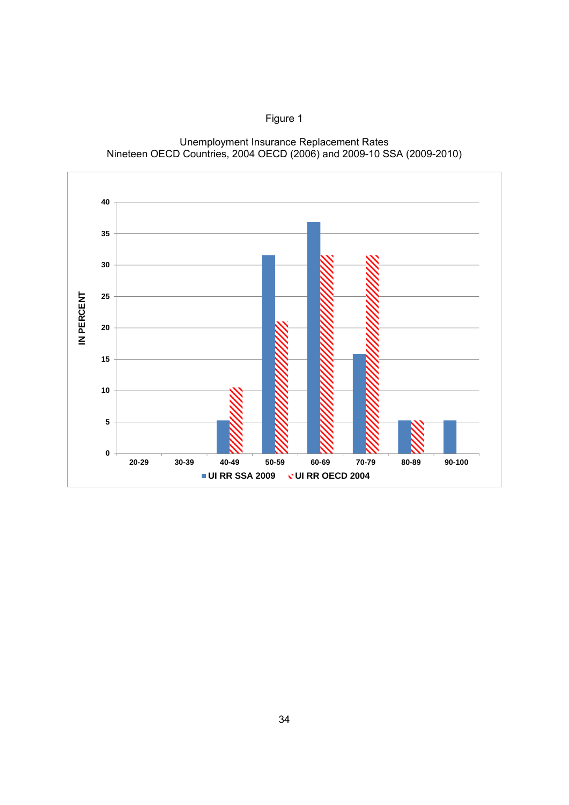

**20-29 30-39 40-49 50-59 60-69 70-79 80-89 90-100**

**UI RR SSA 2009 UI RR OECD 2004**

Unemployment Insurance Replacement Rates Nineteen OECD Countries, 2004 OECD (2006) and 2009-10 SSA (2009-2010)

Figure 1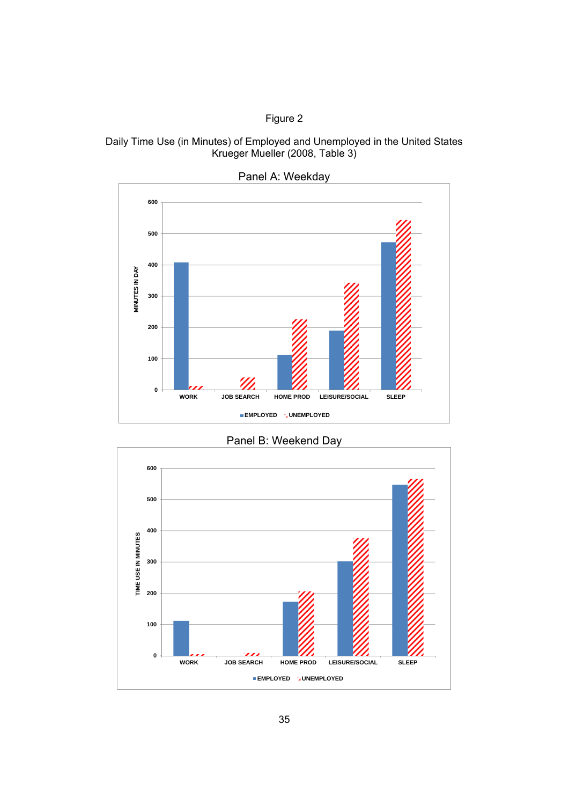#### Figure 2





Panel A: Weekday

Panel B: Weekend Day

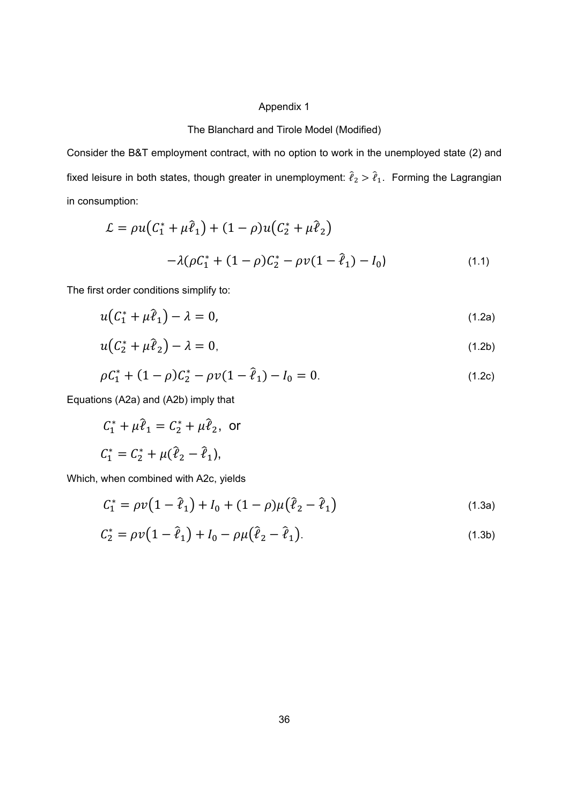#### Appendix 1

#### The Blanchard and Tirole Model (Modified)

Consider the B&T employment contract, with no option to work in the unemployed state (2) and fixed leisure in both states, though greater in unemployment:  $\hat{\ell}_2 > \hat{\ell}_1$ . Forming the Lagrangian in consumption:

$$
\mathcal{L} = \rho u (C_1^* + \mu \hat{\ell}_1) + (1 - \rho) u (C_2^* + \mu \hat{\ell}_2)
$$
  
-  $\lambda (\rho C_1^* + (1 - \rho) C_2^* - \rho v (1 - \hat{\ell}_1) - I_0)$  (1.1)

The first order conditions simplify to:

$$
u(C_1^* + \mu \hat{\ell}_1) - \lambda = 0,\tag{1.2a}
$$

$$
u(C_2^* + \mu \hat{\ell}_2) - \lambda = 0, \tag{1.2b}
$$

$$
\rho C_1^* + (1 - \rho)C_2^* - \rho v (1 - \hat{\ell}_1) - I_0 = 0. \tag{1.2c}
$$

Equations (A2a) and (A2b) imply that

$$
C_1^* + \mu \hat{\ell}_1 = C_2^* + \mu \hat{\ell}_2
$$
, or  
 $C_1^* = C_2^* + \mu(\hat{\ell}_2 - \hat{\ell}_1)$ ,

Which, when combined with A2c, yields

$$
C_1^* = \rho v (1 - \hat{\ell}_1) + I_0 + (1 - \rho) \mu (\hat{\ell}_2 - \hat{\ell}_1)
$$
\n(1.3a)

$$
C_2^* = \rho v (1 - \hat{\ell}_1) + I_0 - \rho \mu (\hat{\ell}_2 - \hat{\ell}_1).
$$
 (1.3b)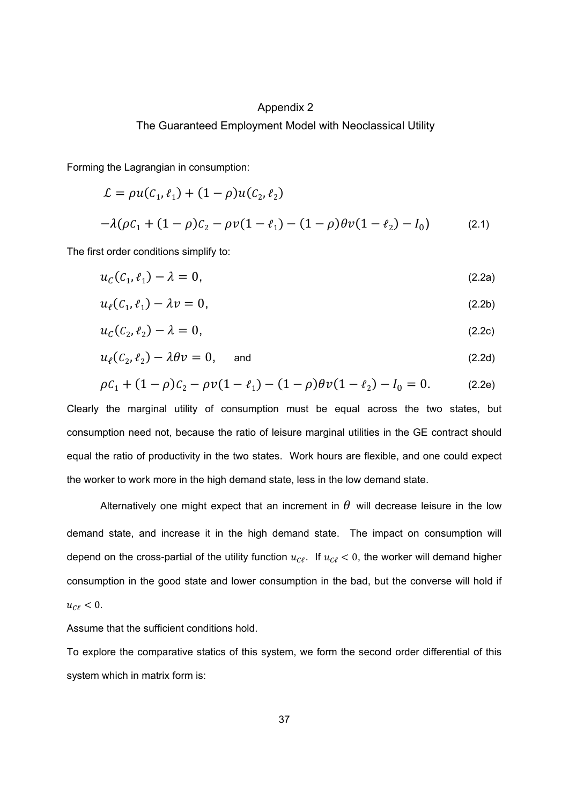#### Appendix 2

#### The Guaranteed Employment Model with Neoclassical Utility

Forming the Lagrangian in consumption:

$$
\mathcal{L} = \rho u(C_1, \ell_1) + (1 - \rho)u(C_2, \ell_2)
$$
  
- $\lambda (\rho C_1 + (1 - \rho)C_2 - \rho v(1 - \ell_1) - (1 - \rho)\theta v(1 - \ell_2) - I_0)$  (2.1)

The first order conditions simplify to:

$$
u_C(\mathcal{C}_1, \ell_1) - \lambda = 0,\tag{2.2a}
$$

$$
u_{\ell}(C_1, \ell_1) - \lambda v = 0, \tag{2.2b}
$$

$$
u_C(C_2, \ell_2) - \lambda = 0, \tag{2.2c}
$$

$$
u_{\ell}(C_2, \ell_2) - \lambda \theta v = 0, \quad \text{and} \quad (2.2d)
$$

$$
\rho C_1 + (1 - \rho)C_2 - \rho v (1 - \ell_1) - (1 - \rho) \theta v (1 - \ell_2) - I_0 = 0.
$$
 (2.2e)

Clearly the marginal utility of consumption must be equal across the two states, but consumption need not, because the ratio of leisure marginal utilities in the GE contract should equal the ratio of productivity in the two states. Work hours are flexible, and one could expect the worker to work more in the high demand state, less in the low demand state.

Alternatively one might expect that an increment in  $\theta$  will decrease leisure in the low demand state, and increase it in the high demand state. The impact on consumption will depend on the cross-partial of the utility function  $u_{\mathcal{C}\ell}$ . If  $u_{\mathcal{C}\ell} < 0$ , the worker will demand higher consumption in the good state and lower consumption in the bad, but the converse will hold if  $u_{\mathcal{C}\ell} < 0.$ 

Assume that the sufficient conditions hold.

To explore the comparative statics of this system, we form the second order differential of this system which in matrix form is: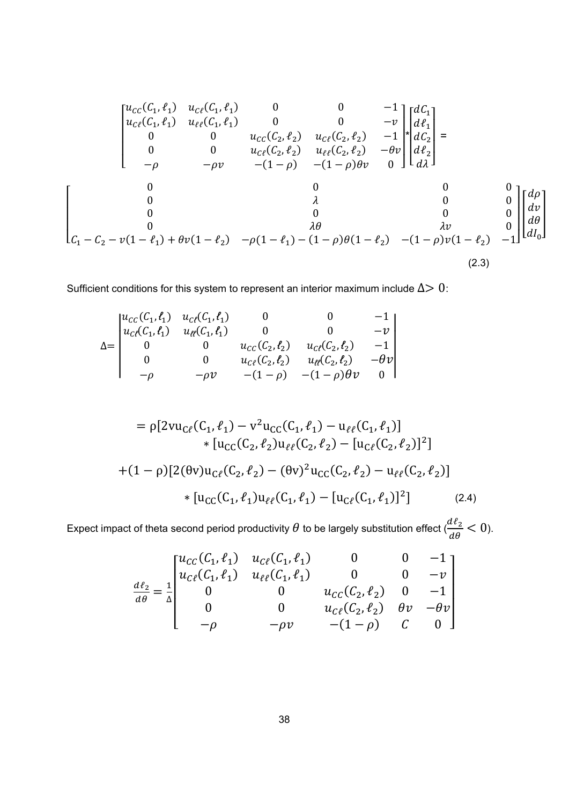$$
\begin{bmatrix}\nu_{CC}(C_1, \ell_1) & \nu_{C\ell}(C_1, \ell_1) & 0 & 0 & -1 \\
u_{C\ell}(C_1, \ell_1) & u_{\ell\ell}(C_1, \ell_1) & 0 & 0 & -v \\
0 & 0 & u_{C\ell}(C_2, \ell_2) & u_{C\ell}(C_2, \ell_2) & -1 \\
0 & 0 & u_{C\ell}(C_2, \ell_2) & u_{\ell\ell}(C_2, \ell_2) & -\theta v \\
-\rho & -\rho v & -(1-\rho) & -(1-\rho)\theta v & 0\n\end{bmatrix}\n\begin{bmatrix}\ndC_1 \\
d\ell_1 \\
dC_2 \\
d\ell_2 \\
d\ell_1\n\end{bmatrix} = \begin{bmatrix}\n0 & 0 & 0 & 0 \\
0 & 0 & u_{C\ell}(C_2, \ell_2) & u_{\ell\ell}(C_2, \ell_2) & -\theta v \\
0 & 0 & 0 & 0 \\
0 & 0 & 0 & 0 \\
0 & 0 & 0 & 0 \\
0 & 0 & 0 & 0 \\
0 & 0 & 0 & 0 \\
0 & 0 & 0 & 0 \\
0 & 0 & 0 & 0\n\end{bmatrix}\n\begin{bmatrix}\nd\rho \\
d\ell \\
d\ell \\
d\ell\n\end{bmatrix}
$$
\n
$$
C_1 - C_2 - v(1 - \ell_1) + \theta v(1 - \ell_2) - \rho(1 - \ell_1) - (1 - \rho)\theta(1 - \ell_2) - (1 - \rho)v(1 - \ell_2) - 1\n\end{bmatrix} \begin{bmatrix}\nd\rho \\
d\ell \\
d\ell\n\end{bmatrix}
$$
\n(2.3)

Sufficient conditions for this system to represent an interior maximum include  $\Delta$  > 0:

$$
\Delta = \begin{vmatrix} u_{CC}(C_1, \ell_1) & u_{C\ell}(C_1, \ell_1) & 0 & 0 & -1 \\ u_{C\ell}(C_1, \ell_1) & u_{\ell\ell}(C_1, \ell_1) & 0 & 0 & -v \\ 0 & 0 & u_{CC}(C_2, \ell_2) & u_{C\ell}(C_2, \ell_2) & -1 \\ 0 & 0 & u_{C\ell}(C_2, \ell_2) & u_{\ell\ell}(C_2, \ell_2) & -\theta v \\ -\rho & -\rho v & -(1-\rho) & -(1-\rho)\theta v & 0 \end{vmatrix}
$$

$$
= \rho[2vu_{C\ell}(C_1, \ell_1) - v^2u_{CC}(C_1, \ell_1) - u_{\ell\ell}(C_1, \ell_1)]
$$
  
\n
$$
* [u_{CC}(C_2, \ell_2)u_{\ell\ell}(C_2, \ell_2) - [u_{C\ell}(C_2, \ell_2)]^2]
$$
  
\n
$$
+ (1 - \rho)[2(\theta v)u_{C\ell}(C_2, \ell_2) - (\theta v)^2u_{CC}(C_2, \ell_2) - u_{\ell\ell}(C_2, \ell_2)]
$$
  
\n
$$
* [u_{CC}(C_1, \ell_1)u_{\ell\ell}(C_1, \ell_1) - [u_{C\ell}(C_1, \ell_1)]^2]
$$
 (2.4)

Expect impact of theta second period productivity  $\theta$  to be largely substitution effect  $(\frac{d\ell_2}{d\theta} < 0)$ .

$$
\frac{d\ell_2}{d\theta} = \frac{1}{\Delta} \begin{bmatrix} u_{CC}(C_1, \ell_1) & u_{C\ell}(C_1, \ell_1) & 0 & 0 & -1 \\ u_{C\ell}(C_1, \ell_1) & u_{\ell\ell}(C_1, \ell_1) & 0 & 0 & -v \\ 0 & 0 & u_{CC}(C_2, \ell_2) & 0 & -1 \\ 0 & 0 & u_{C\ell}(C_2, \ell_2) & \theta v & -\theta v \\ -\rho & -\rho v & -(1-\rho) & C & 0 \end{bmatrix}
$$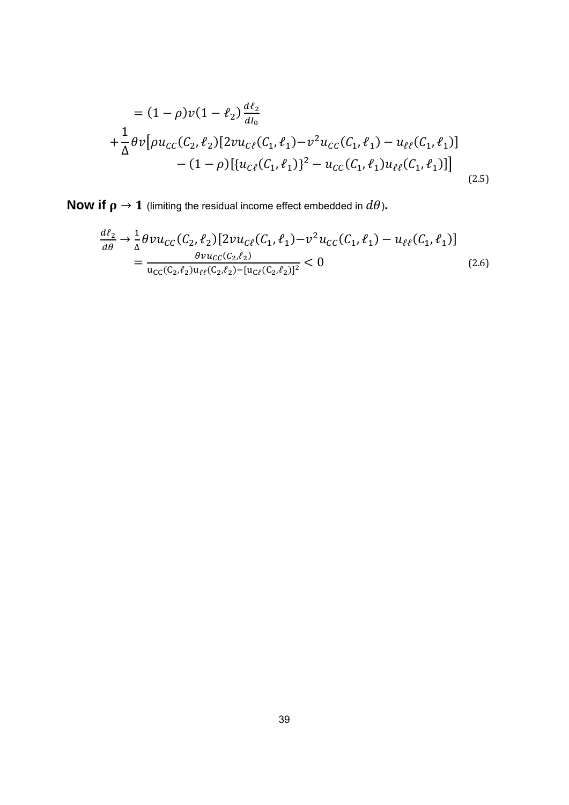$$
= (1 - \rho)v(1 - \ell_2)\frac{d\ell_2}{dI_0}
$$
  
+  $\frac{1}{\Delta}\theta v[\rho u_{CC}(C_2, \ell_2)[2vu_{C\ell}(C_1, \ell_1) - v^2u_{CC}(C_1, \ell_1) - u_{\ell\ell}(C_1, \ell_1)]$   
-  $(1 - \rho)[\{u_{C\ell}(C_1, \ell_1)\}^2 - u_{CC}(C_1, \ell_1)u_{\ell\ell}(C_1, \ell_1)]]$  (2.5)

**Now if**  $\rho \to 1$  (limiting the residual income effect embedded in  $d\theta$ ).

$$
\frac{d\ell_2}{d\theta} \to \frac{1}{\Delta} \theta \nu u_{CC}(C_2, \ell_2) [2\nu u_{C\ell}(C_1, \ell_1) - \nu^2 u_{CC}(C_1, \ell_1) - u_{\ell\ell}(C_1, \ell_1)]
$$
\n
$$
= \frac{\theta \nu u_{CC}(C_2, \ell_2)}{u_{CC}(C_2, \ell_2) - [u_{C\ell}(C_2, \ell_2)]^2} < 0
$$
\n(2.6)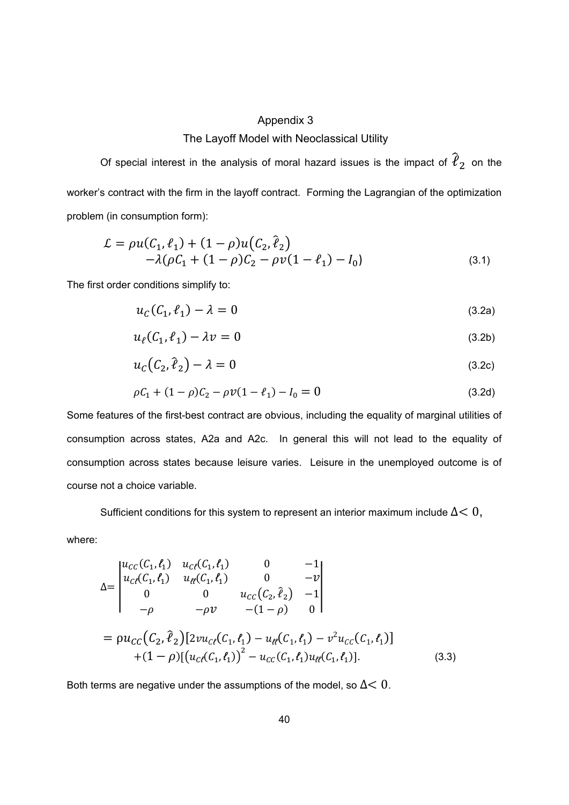#### Appendix 3

#### The Layoff Model with Neoclassical Utility

Of special interest in the analysis of moral hazard issues is the impact of  $\hat{\ell}_2$  on the worker's contract with the firm in the layoff contract. Forming the Lagrangian of the optimization problem (in consumption form):

$$
\mathcal{L} = \rho u(C_1, \ell_1) + (1 - \rho) u(C_2, \hat{\ell}_2) \n- \lambda (\rho C_1 + (1 - \rho) C_2 - \rho v (1 - \ell_1) - I_0)
$$
\n(3.1)

The first order conditions simplify to:

$$
u_C(C_1, \ell_1) - \lambda = 0 \tag{3.2a}
$$

$$
u_{\ell}(C_1, \ell_1) - \lambda v = 0 \tag{3.2b}
$$

$$
u_c(C_2, \hat{\ell}_2) - \lambda = 0 \tag{3.2c}
$$

$$
\rho C_1 + (1 - \rho)C_2 - \rho v (1 - \ell_1) - I_0 = 0 \tag{3.2d}
$$

Some features of the first-best contract are obvious, including the equality of marginal utilities of consumption across states, A2a and A2c. In general this will not lead to the equality of consumption across states because leisure varies. Leisure in the unemployed outcome is of course not a choice variable.

Sufficient conditions for this system to represent an interior maximum include  $\Delta$  < 0,

where:

$$
\Delta = \begin{vmatrix} u_{cc}(C_1, \ell_1) & u_{c\ell}(C_1, \ell_1) & 0 & -1 \\ u_{c\ell}(C_1, \ell_1) & u_{\ell\ell}(C_1, \ell_1) & 0 & -v \\ 0 & 0 & u_{cc}(C_2, \hat{\ell}_2) & -1 \\ -\rho & -\rho v & -(1-\rho) & 0 \end{vmatrix}
$$
  
=  $\rho u_{cc}(C_2, \hat{\ell}_2) [2vu_{c\ell}(C_1, \ell_1) - u_{\ell\ell}(C_1, \ell_1) - v^2 u_{cc}(C_1, \ell_1)]$   
+  $(1-\rho) [ (u_{c\ell}(C_1, \ell_1))^2 - u_{cc}(C_1, \ell_1) u_{\ell\ell}(C_1, \ell_1)].$  (3.3)

Both terms are negative under the assumptions of the model, so  $\Delta$  < 0.